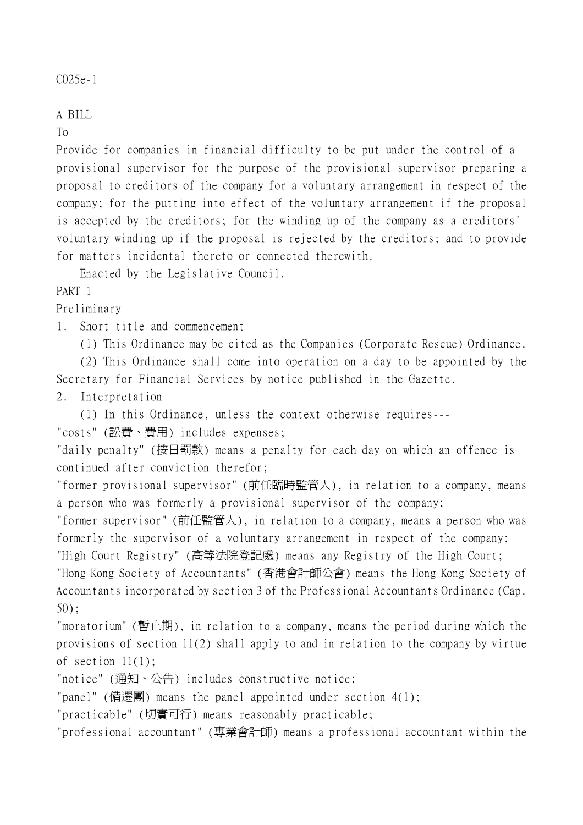## A BILL

To

Provide for companies in financial difficulty to be put under the control of a provisional supervisor for the purpose of the provisional supervisor preparing a proposal to creditors of the company for a voluntary arrangement in respect of the company; for the putting into effect of the voluntary arrangement if the proposal is accepted by the creditors; for the winding up of the company as a creditors' voluntary winding up if the proposal is rejected by the creditors; and to provide for matters incidental thereto or connected therewith.

Enacted by the Legislative Council.

## PART 1

Preliminary

1. Short title and commencement

(1) This Ordinance may be cited as the Companies (Corporate Rescue) Ordinance.

(2) This Ordinance shall come into operation on a day to be appointed by the Secretary for Financial Services by notice published in the Gazette.

2. Interpretation

(1) In this Ordinance, unless the context otherwise requires---

"costs" (訟費、費用) includes expenses;

"daily penalty" (按日罰款) means a penalty for each day on which an offence is continued after conviction therefor;

"former provisional supervisor" (前任臨時監管㆟), in relation to a company, means a person who was formerly a provisional supervisor of the company;

"former supervisor" (前任監管㆟), in relation to a company, means a person who was formerly the supervisor of a voluntary arrangement in respect of the company;

"High Court Registry" (高等法院登記處) means any Registry of the High Court;

"Hong Kong Society of Accountants" (香港會計師公會) means the Hong Kong Society of Accountants incorporated by section 3 of the Professional Accountants Ordinance (Cap. 50);

"moratorium" (暫止期), in relation to a company, means the period during which the provisions of section 11(2) shall apply to and in relation to the company by virtue of section 11(1);

"notice" (通知、公告) includes constructive notice;

"panel" (備選團) means the panel appointed under section 4(1);

"practicable" (切實可行) means reasonably practicable;

"professional accountant" (專業會計師) means a professional accountant within the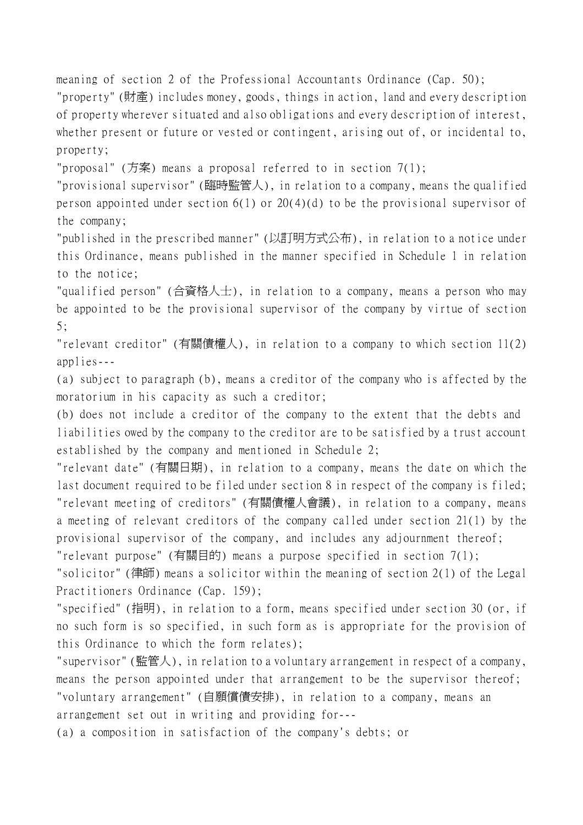meaning of section 2 of the Professional Accountants Ordinance (Cap. 50);

"property" (財產) includes money, goods, things in action, land and every description of property wherever situated and also obligations and every description of interest, whether present or future or vested or contingent, arising out of, or incidental to, property;

"proposal" (方案) means a proposal referred to in section  $7(1)$ ;

"provisional supervisor" (臨時監管㆟), in relation to a company, means the qualified person appointed under section 6(1) or 20(4)(d) to be the provisional supervisor of the company;

"published in the prescribed manner" (以訂明方式公布), in relation to a notice under this Ordinance, means published in the manner specified in Schedule 1 in relation to the notice;

"qualified person" (合資格㆟士), in relation to a company, means a person who may be appointed to be the provisional supervisor of the company by virtue of section 5;

"relevant creditor" (有關債權㆟), in relation to a company to which section 11(2) applies---

(a) subject to paragraph (b), means a creditor of the company who is affected by the moratorium in his capacity as such a creditor;

(b) does not include a creditor of the company to the extent that the debts and liabilities owed by the company to the creditor are to be satisfied by a trust account established by the company and mentioned in Schedule 2;

"relevant date" (有關日期), in relation to a company, means the date on which the last document required to be filed under section 8 in respect of the company is filed; "relevant meeting of creditors" (有關債權㆟會議), in relation to a company, means a meeting of relevant creditors of the company called under section 21(1) by the provisional supervisor of the company, and includes any adjournment thereof; "relevant purpose" (有關目的) means a purpose specified in section 7(1);

"solicitor" (律師) means a solicitor within the meaning of section 2(1) of the Legal Practitioners Ordinance (Cap. 159);

"specified" (指明), in relation to a form, means specified under section 30 (or, if no such form is so specified, in such form as is appropriate for the provision of this Ordinance to which the form relates);

"supervisor" (監管㆟), in relation to a voluntary arrangement in respect of a company, means the person appointed under that arrangement to be the supervisor thereof; "voluntary arrangement" (自願償債安排), in relation to a company, means an arrangement set out in writing and providing for---

(a) a composition in satisfaction of the company's debts; or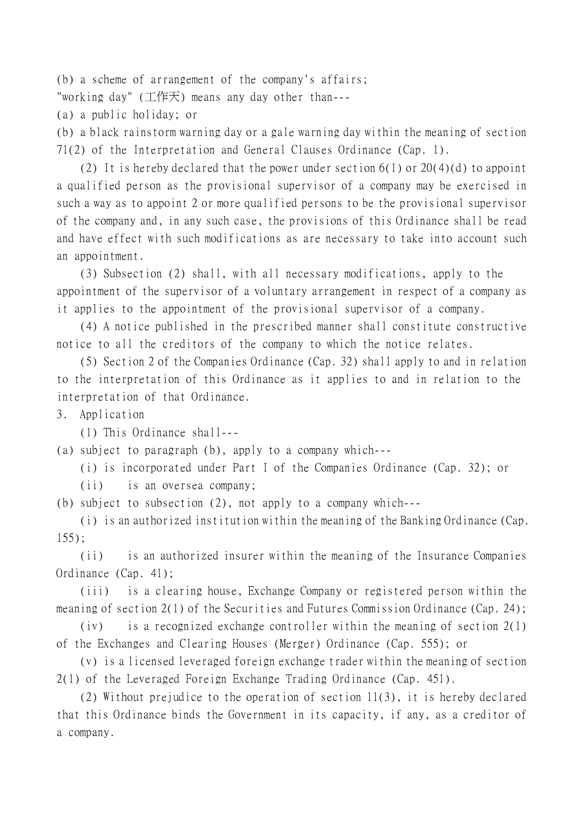(b) a scheme of arrangement of the company's affairs;

"working day" (工作天) means any day other than---

(a) a public holiday; or

(b) a black rainstorm warning day or a gale warning day within the meaning of section 71(2) of the Interpretation and General Clauses Ordinance (Cap. 1).

(2) It is hereby declared that the power under section  $6(1)$  or  $20(4)(d)$  to appoint a qualified person as the provisional supervisor of a company may be exercised in such a way as to appoint 2 or more qualified persons to be the provisional supervisor of the company and, in any such case, the provisions of this Ordinance shall be read and have effect with such modifications as are necessary to take into account such an appointment.

(3) Subsection (2) shall, with all necessary modifications, apply to the appointment of the supervisor of a voluntary arrangement in respect of a company as it applies to the appointment of the provisional supervisor of a company.

(4) A notice published in the prescribed manner shall constitute constructive notice to all the creditors of the company to which the notice relates.

(5) Section 2 of the Companies Ordinance (Cap. 32) shall apply to and in relation to the interpretation of this Ordinance as it applies to and in relation to the interpretation of that Ordinance.

3. Application

(1) This Ordinance shall---

(a) subject to paragraph (b), apply to a company which---

(i) is incorporated under Part I of the Companies Ordinance (Cap. 32); or

(ii) is an oversea company;

(b) subject to subsection (2), not apply to a company which---

(i) is an authorized institution within the meaning of the Banking Ordinance (Cap. 155);

(ii) is an authorized insurer within the meaning of the Insurance Companies Ordinance (Cap. 41);

(iii) is a clearing house, Exchange Company or registered person within the meaning of section 2(1) of the Securities and Futures Commission Ordinance (Cap. 24);

(iv) is a recognized exchange controller within the meaning of section 2(1) of the Exchanges and Clearing Houses (Merger) Ordinance (Cap. 555); or

(v) is a licensed leveraged foreign exchange trader within the meaning of section 2(1) of the Leveraged Foreign Exchange Trading Ordinance (Cap. 451).

(2) Without prejudice to the operation of section 11(3), it is hereby declared that this Ordinance binds the Government in its capacity, if any, as a creditor of a company.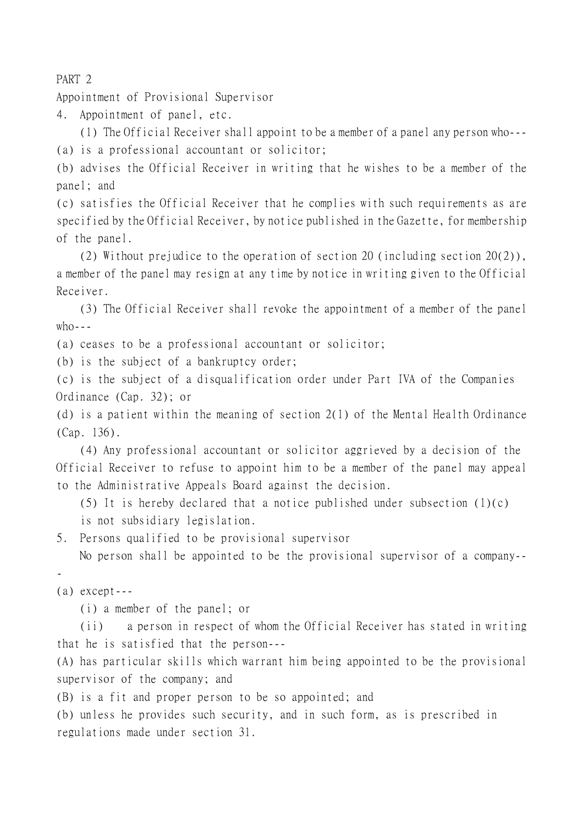PART 2

Appointment of Provisional Supervisor

4. Appointment of panel, etc.

(1) The Official Receiver shall appoint to be a member of a panel any person who--- (a) is a professional accountant or solicitor;

(b) advises the Official Receiver in writing that he wishes to be a member of the panel; and

(c) satisfies the Official Receiver that he complies with such requirements as are specified by the Official Receiver, by notice published in the Gazette, for membership of the panel.

(2) Without prejudice to the operation of section 20 (including section 20(2)), a member of the panel may resign at any time by notice in writing given to the Official Receiver.

(3) The Official Receiver shall revoke the appointment of a member of the panel  $who$ ---

(a) ceases to be a professional accountant or solicitor;

(b) is the subject of a bankruptcy order;

(c) is the subject of a disqualification order under Part IVA of the Companies Ordinance (Cap. 32); or

(d) is a patient within the meaning of section 2(1) of the Mental Health Ordinance (Cap. 136).

(4) Any professional accountant or solicitor aggrieved by a decision of the Official Receiver to refuse to appoint him to be a member of the panel may appeal to the Administrative Appeals Board against the decision.

(5) It is hereby declared that a notice published under subsection  $(1)(c)$ is not subsidiary legislation.

5. Persons qualified to be provisional supervisor

No person shall be appointed to be the provisional supervisor of a company--

-

(a) except---

(i) a member of the panel; or

(ii) a person in respect of whom the Official Receiver has stated in writing that he is satisfied that the person---

(A) has particular skills which warrant him being appointed to be the provisional supervisor of the company; and

(B) is a fit and proper person to be so appointed; and

(b) unless he provides such security, and in such form, as is prescribed in regulations made under section 31.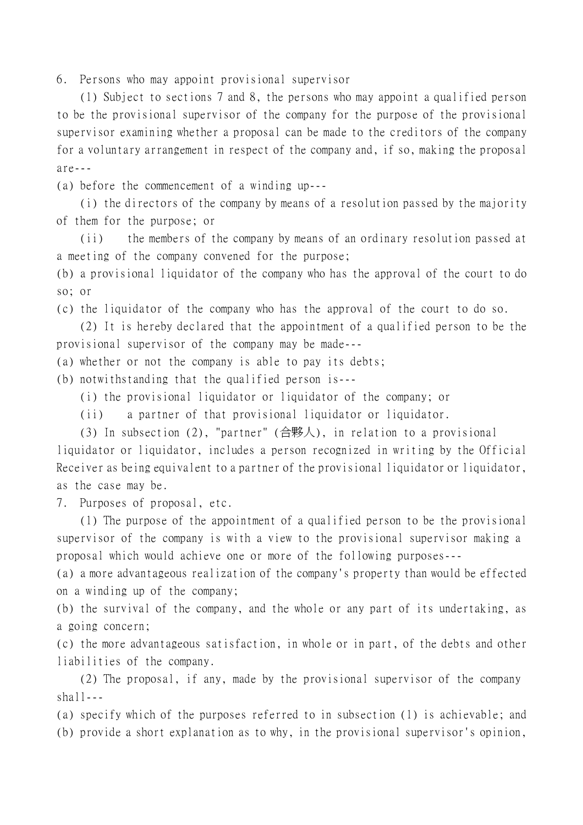6. Persons who may appoint provisional supervisor

(1) Subject to sections 7 and 8, the persons who may appoint a qualified person to be the provisional supervisor of the company for the purpose of the provisional supervisor examining whether a proposal can be made to the creditors of the company for a voluntary arrangement in respect of the company and, if so, making the proposal  $area -$ 

(a) before the commencement of a winding up---

(i) the directors of the company by means of a resolution passed by the majority of them for the purpose; or

(ii) the members of the company by means of an ordinary resolution passed at a meeting of the company convened for the purpose;

(b) a provisional liquidator of the company who has the approval of the court to do so; or

(c) the liquidator of the company who has the approval of the court to do so.

(2) It is hereby declared that the appointment of a qualified person to be the provisional supervisor of the company may be made---

(a) whether or not the company is able to pay its debts;

(b) notwithstanding that the qualified person is---

(i) the provisional liquidator or liquidator of the company; or

(ii) a partner of that provisional liquidator or liquidator.

(3) In subsection (2), "partner"  $(\triangle$ 夥人), in relation to a provisional liquidator or liquidator, includes a person recognized in writing by the Official Receiver as being equivalent to a partner of the provisional liquidator or liquidator, as the case may be.

7. Purposes of proposal, etc.

(1) The purpose of the appointment of a qualified person to be the provisional supervisor of the company is with a view to the provisional supervisor making a proposal which would achieve one or more of the following purposes---

(a) a more advantageous realization of the company's property than would be effected on a winding up of the company;

(b) the survival of the company, and the whole or any part of its undertaking, as a going concern;

(c) the more advantageous satisfaction, in whole or in part, of the debts and other liabilities of the company.

(2) The proposal, if any, made by the provisional supervisor of the company  $shal1--$ 

(a) specify which of the purposes referred to in subsection (1) is achievable; and (b) provide a short explanation as to why, in the provisional supervisor's opinion,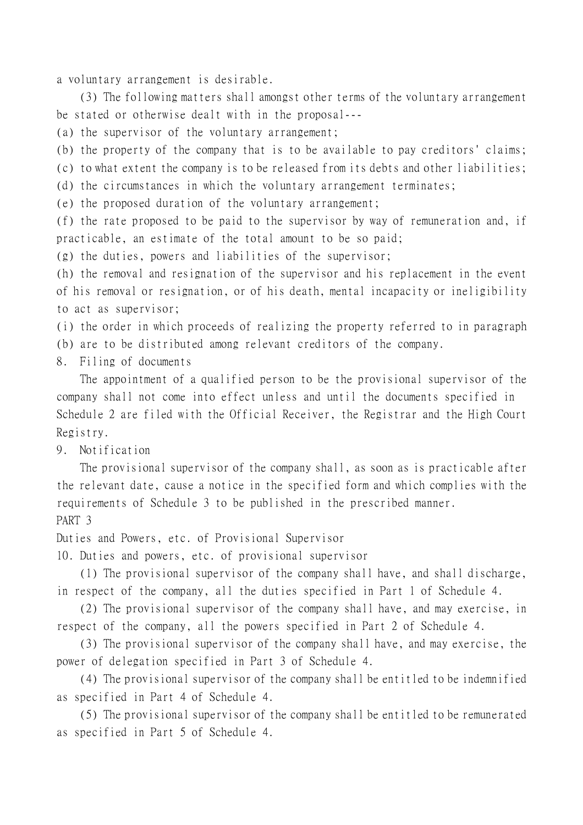a voluntary arrangement is desirable.

(3) The following matters shall amongst other terms of the voluntary arrangement be stated or otherwise dealt with in the proposal---

(a) the supervisor of the voluntary arrangement;

(b) the property of the company that is to be available to pay creditors' claims;

(c) to what extent the company is to be released from its debts and other liabilities;

(d) the circumstances in which the voluntary arrangement terminates;

(e) the proposed duration of the voluntary arrangement;

(f) the rate proposed to be paid to the supervisor by way of remuneration and, if practicable, an estimate of the total amount to be so paid;

(g) the duties, powers and liabilities of the supervisor;

(h) the removal and resignation of the supervisor and his replacement in the event of his removal or resignation, or of his death, mental incapacity or ineligibility to act as supervisor;

(i) the order in which proceeds of realizing the property referred to in paragraph

(b) are to be distributed among relevant creditors of the company.

8. Filing of documents

The appointment of a qualified person to be the provisional supervisor of the company shall not come into effect unless and until the documents specified in Schedule 2 are filed with the Official Receiver, the Registrar and the High Court Registry.

9. Notification

The provisional supervisor of the company shall, as soon as is practicable after the relevant date, cause a notice in the specified form and which complies with the requirements of Schedule 3 to be published in the prescribed manner. PART 3

Duties and Powers, etc. of Provisional Supervisor

10. Duties and powers, etc. of provisional supervisor

(1) The provisional supervisor of the company shall have, and shall discharge, in respect of the company, all the duties specified in Part 1 of Schedule 4.

(2) The provisional supervisor of the company shall have, and may exercise, in respect of the company, all the powers specified in Part 2 of Schedule 4.

(3) The provisional supervisor of the company shall have, and may exercise, the power of delegation specified in Part 3 of Schedule 4.

(4) The provisional supervisor of the company shall be entitled to be indemnified as specified in Part 4 of Schedule 4.

(5) The provisional supervisor of the company shall be entitled to be remunerated as specified in Part 5 of Schedule 4.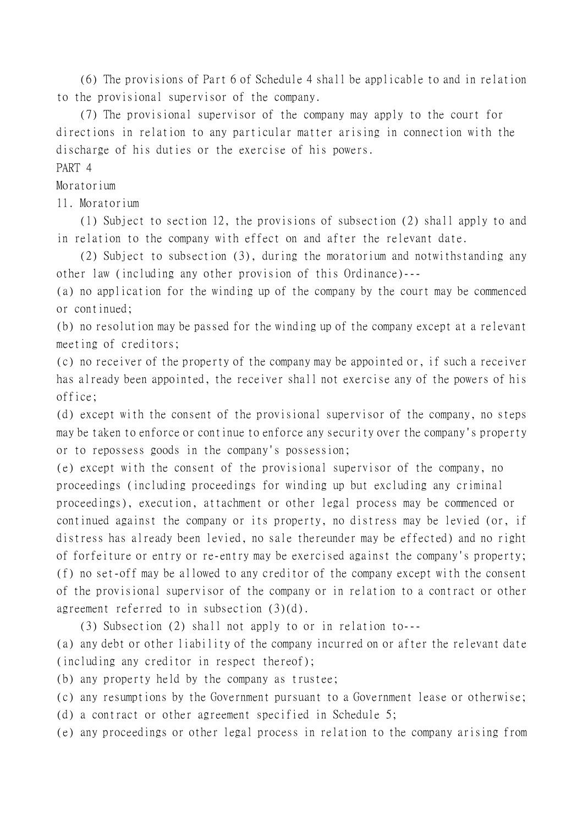(6) The provisions of Part 6 of Schedule 4 shall be applicable to and in relation to the provisional supervisor of the company.

(7) The provisional supervisor of the company may apply to the court for directions in relation to any particular matter arising in connection with the discharge of his duties or the exercise of his powers.

## PART 4

Moratorium

11. Moratorium

(1) Subject to section 12, the provisions of subsection (2) shall apply to and in relation to the company with effect on and after the relevant date.

(2) Subject to subsection (3), during the moratorium and notwithstanding any other law (including any other provision of this Ordinance)---

(a) no application for the winding up of the company by the court may be commenced or continued;

(b) no resolution may be passed for the winding up of the company except at a relevant meeting of creditors;

(c) no receiver of the property of the company may be appointed or, if such a receiver has already been appointed, the receiver shall not exercise any of the powers of his office;

(d) except with the consent of the provisional supervisor of the company, no steps may be taken to enforce or continue to enforce any security over the company's property or to repossess goods in the company's possession;

(e) except with the consent of the provisional supervisor of the company, no proceedings (including proceedings for winding up but excluding any criminal proceedings), execution, attachment or other legal process may be commenced or continued against the company or its property, no distress may be levied (or, if distress has already been levied, no sale thereunder may be effected) and no right of forfeiture or entry or re-entry may be exercised against the company's property; (f) no set-off may be allowed to any creditor of the company except with the consent of the provisional supervisor of the company or in relation to a contract or other agreement referred to in subsection (3)(d).

(3) Subsection (2) shall not apply to or in relation to---

(a) any debt or other liability of the company incurred on or after the relevant date (including any creditor in respect thereof);

(b) any property held by the company as trustee;

(c) any resumptions by the Government pursuant to a Government lease or otherwise;

(d) a contract or other agreement specified in Schedule 5;

(e) any proceedings or other legal process in relation to the company arising from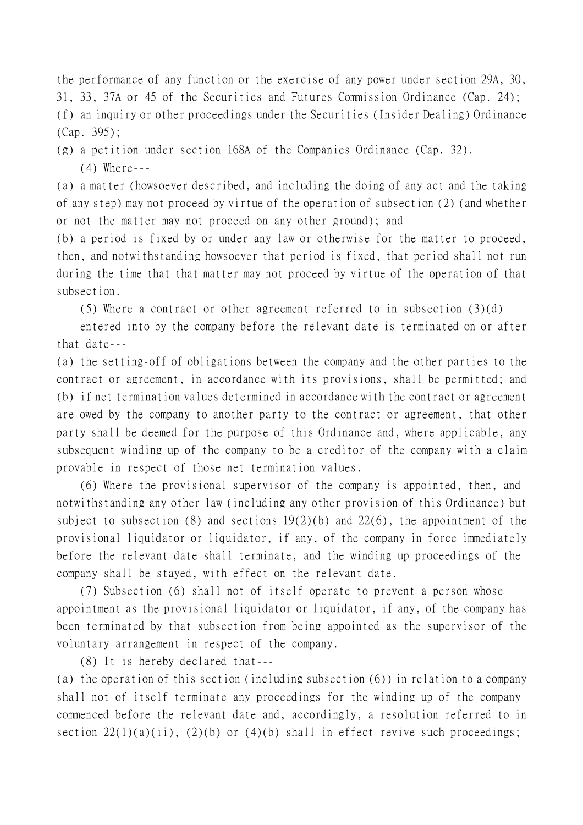the performance of any function or the exercise of any power under section 29A, 30, 31, 33, 37A or 45 of the Securities and Futures Commission Ordinance (Cap. 24); (f) an inquiry or other proceedings under the Securities (Insider Dealing) Ordinance (Cap. 395);

(g) a petition under section 168A of the Companies Ordinance (Cap. 32). (4) Where---

(a) a matter (howsoever described, and including the doing of any act and the taking of any step) may not proceed by virtue of the operation of subsection (2) (and whether or not the matter may not proceed on any other ground); and

(b) a period is fixed by or under any law or otherwise for the matter to proceed, then, and notwithstanding howsoever that period is fixed, that period shall not run during the time that that matter may not proceed by virtue of the operation of that subsection.

(5) Where a contract or other agreement referred to in subsection (3)(d)

entered into by the company before the relevant date is terminated on or after that date---

(a) the setting-off of obligations between the company and the other parties to the contract or agreement, in accordance with its provisions, shall be permitted; and (b) if net termination values determined in accordance with the contract or agreement are owed by the company to another party to the contract or agreement, that other party shall be deemed for the purpose of this Ordinance and, where applicable, any subsequent winding up of the company to be a creditor of the company with a claim provable in respect of those net termination values.

(6) Where the provisional supervisor of the company is appointed, then, and notwithstanding any other law (including any other provision of this Ordinance) but subject to subsection (8) and sections  $19(2)(b)$  and  $22(6)$ , the appointment of the provisional liquidator or liquidator, if any, of the company in force immediately before the relevant date shall terminate, and the winding up proceedings of the company shall be stayed, with effect on the relevant date.

(7) Subsection (6) shall not of itself operate to prevent a person whose appointment as the provisional liquidator or liquidator, if any, of the company has been terminated by that subsection from being appointed as the supervisor of the voluntary arrangement in respect of the company.

(8) It is hereby declared that---

(a) the operation of this section (including subsection (6)) in relation to a company shall not of itself terminate any proceedings for the winding up of the company commenced before the relevant date and, accordingly, a resolution referred to in section  $22(1)(a)(ii)$ ,  $(2)(b)$  or  $(4)(b)$  shall in effect revive such proceedings;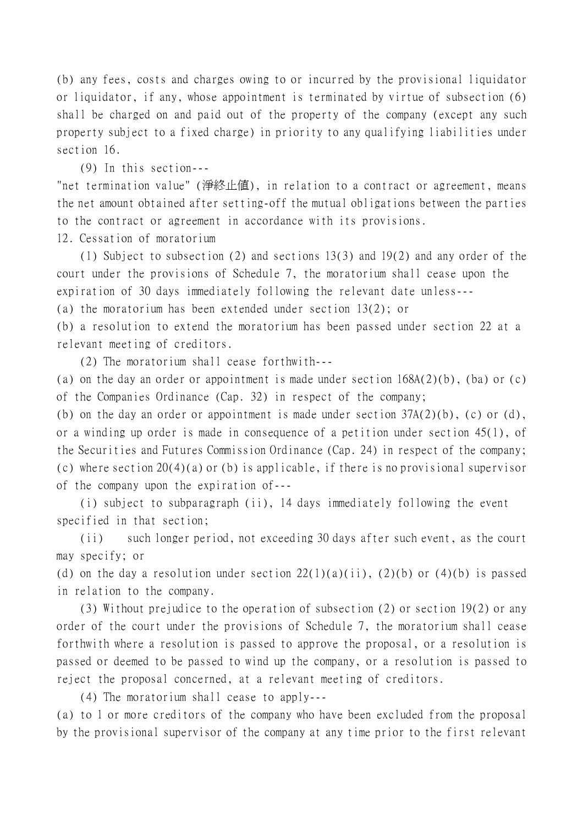(b) any fees, costs and charges owing to or incurred by the provisional liquidator or liquidator, if any, whose appointment is terminated by virtue of subsection (6) shall be charged on and paid out of the property of the company (except any such property subject to a fixed charge) in priority to any qualifying liabilities under section 16.

(9) In this section---

"net termination value" (淨終止值), in relation to a contract or agreement, means the net amount obtained after setting-off the mutual obligations between the parties to the contract or agreement in accordance with its provisions.

12. Cessation of moratorium

(1) Subject to subsection (2) and sections 13(3) and 19(2) and any order of the court under the provisions of Schedule 7, the moratorium shall cease upon the expiration of 30 days immediately following the relevant date unless---

(a) the moratorium has been extended under section 13(2); or

(b) a resolution to extend the moratorium has been passed under section 22 at a relevant meeting of creditors.

(2) The moratorium shall cease forthwith---

(a) on the day an order or appointment is made under section 168A(2)(b), (ba) or (c) of the Companies Ordinance (Cap. 32) in respect of the company;

(b) on the day an order or appointment is made under section  $37A(2)(b)$ , (c) or (d), or a winding up order is made in consequence of a petition under section 45(1), of the Securities and Futures Commission Ordinance (Cap. 24) in respect of the company; (c) where section 20(4)(a) or (b) is applicable, if there is no provisional supervisor of the company upon the expiration of---

(i) subject to subparagraph (ii), 14 days immediately following the event specified in that section;

(ii) such longer period, not exceeding 30 days after such event, as the court may specify; or

(d) on the day a resolution under section  $22(1)(a)(ii)$ ,  $(2)(b)$  or  $(4)(b)$  is passed in relation to the company.

(3) Without prejudice to the operation of subsection (2) or section 19(2) or any order of the court under the provisions of Schedule 7, the moratorium shall cease forthwith where a resolution is passed to approve the proposal, or a resolution is passed or deemed to be passed to wind up the company, or a resolution is passed to reject the proposal concerned, at a relevant meeting of creditors.

(4) The moratorium shall cease to apply---

(a) to 1 or more creditors of the company who have been excluded from the proposal by the provisional supervisor of the company at any time prior to the first relevant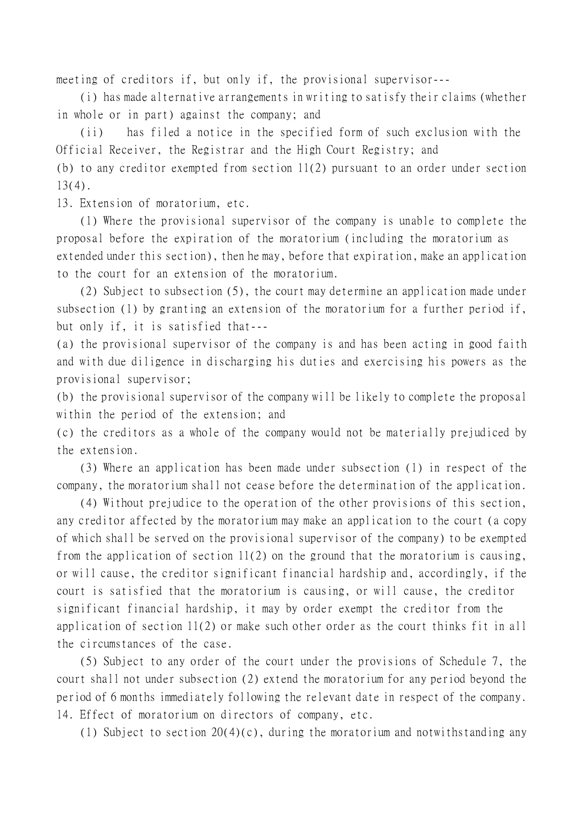meeting of creditors if, but only if, the provisional supervisor---

(i) has made alternative arrangements in writing to satisfy their claims (whether in whole or in part) against the company; and

(ii) has filed a notice in the specified form of such exclusion with the Official Receiver, the Registrar and the High Court Registry; and

(b) to any creditor exempted from section 11(2) pursuant to an order under section  $13(4)$ .

13. Extension of moratorium, etc.

(1) Where the provisional supervisor of the company is unable to complete the proposal before the expiration of the moratorium (including the moratorium as extended under this section), then he may, before that expiration, make an application to the court for an extension of the moratorium.

(2) Subject to subsection (5), the court may determine an application made under subsection (1) by granting an extension of the moratorium for a further period if, but only if, it is satisfied that---

(a) the provisional supervisor of the company is and has been acting in good faith and with due diligence in discharging his duties and exercising his powers as the provisional supervisor;

(b) the provisional supervisor of the company will be likely to complete the proposal within the period of the extension; and

(c) the creditors as a whole of the company would not be materially prejudiced by the extension.

(3) Where an application has been made under subsection (1) in respect of the company, the moratorium shall not cease before the determination of the application.

(4) Without prejudice to the operation of the other provisions of this section, any creditor affected by the moratorium may make an application to the court (a copy of which shall be served on the provisional supervisor of the company) to be exempted from the application of section 11(2) on the ground that the moratorium is causing, or will cause, the creditor significant financial hardship and, accordingly, if the court is satisfied that the moratorium is causing, or will cause, the creditor significant financial hardship, it may by order exempt the creditor from the application of section 11(2) or make such other order as the court thinks fit in all the circumstances of the case.

(5) Subject to any order of the court under the provisions of Schedule 7, the court shall not under subsection (2) extend the moratorium for any period beyond the period of 6 months immediately following the relevant date in respect of the company. 14. Effect of moratorium on directors of company, etc.

(1) Subject to section 20(4)(c), during the moratorium and notwithstanding any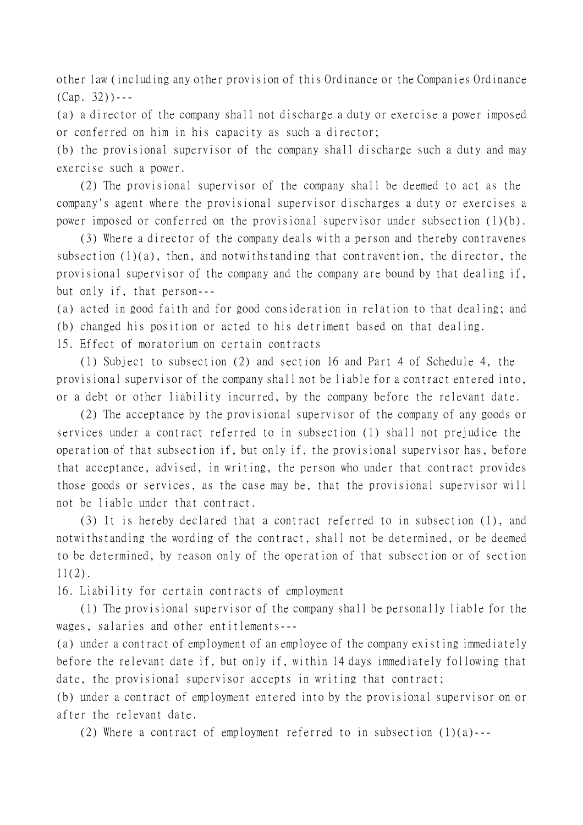other law (including any other provision of this Ordinance or the Companies Ordinance  $(Cap. 32)$ ) - - -

(a) a director of the company shall not discharge a duty or exercise a power imposed or conferred on him in his capacity as such a director;

(b) the provisional supervisor of the company shall discharge such a duty and may exercise such a power.

(2) The provisional supervisor of the company shall be deemed to act as the company's agent where the provisional supervisor discharges a duty or exercises a power imposed or conferred on the provisional supervisor under subsection (1)(b).

(3) Where a director of the company deals with a person and thereby contravenes subsection  $(1)(a)$ , then, and notwithstanding that contravention, the director, the provisional supervisor of the company and the company are bound by that dealing if, but only if, that person---

(a) acted in good faith and for good consideration in relation to that dealing; and (b) changed his position or acted to his detriment based on that dealing.

15. Effect of moratorium on certain contracts

(1) Subject to subsection (2) and section 16 and Part 4 of Schedule 4, the provisional supervisor of the company shall not be liable for a contract entered into, or a debt or other liability incurred, by the company before the relevant date.

(2) The acceptance by the provisional supervisor of the company of any goods or services under a contract referred to in subsection (1) shall not prejudice the operation of that subsection if, but only if, the provisional supervisor has, before that acceptance, advised, in writing, the person who under that contract provides those goods or services, as the case may be, that the provisional supervisor will not be liable under that contract.

(3) It is hereby declared that a contract referred to in subsection (1), and notwithstanding the wording of the contract, shall not be determined, or be deemed to be determined, by reason only of the operation of that subsection or of section 11(2).

16. Liability for certain contracts of employment

(1) The provisional supervisor of the company shall be personally liable for the wages, salaries and other entitlements---

(a) under a contract of employment of an employee of the company existing immediately before the relevant date if, but only if, within 14 days immediately following that date, the provisional supervisor accepts in writing that contract;

(b) under a contract of employment entered into by the provisional supervisor on or after the relevant date.

(2) Where a contract of employment referred to in subsection  $(1)(a)$ ---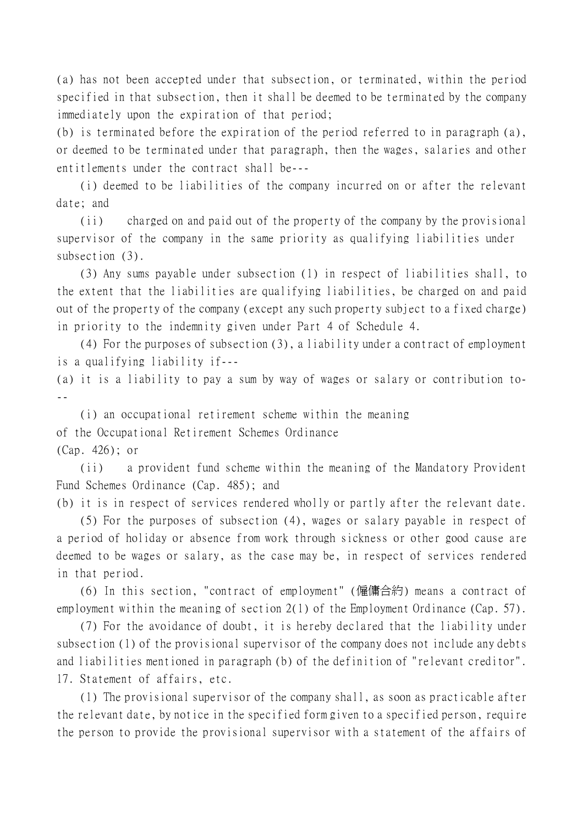(a) has not been accepted under that subsection, or terminated, within the period specified in that subsection, then it shall be deemed to be terminated by the company immediately upon the expiration of that period;

(b) is terminated before the expiration of the period referred to in paragraph (a), or deemed to be terminated under that paragraph, then the wages, salaries and other entitlements under the contract shall be---

(i) deemed to be liabilities of the company incurred on or after the relevant date; and

(ii) charged on and paid out of the property of the company by the provisional supervisor of the company in the same priority as qualifying liabilities under subsection (3).

(3) Any sums payable under subsection (1) in respect of liabilities shall, to the extent that the liabilities are qualifying liabilities, be charged on and paid out of the property of the company (except any such property subject to a fixed charge) in priority to the indemnity given under Part 4 of Schedule 4.

(4) For the purposes of subsection (3), a liability under a contract of employment is a qualifying liability if---

(a) it is a liability to pay a sum by way of wages or salary or contribution to- --

(i) an occupational retirement scheme within the meaning of the Occupational Retirement Schemes Ordinance (Cap. 426); or

(ii) a provident fund scheme within the meaning of the Mandatory Provident Fund Schemes Ordinance (Cap. 485); and

(b) it is in respect of services rendered wholly or partly after the relevant date.

(5) For the purposes of subsection (4), wages or salary payable in respect of a period of holiday or absence from work through sickness or other good cause are deemed to be wages or salary, as the case may be, in respect of services rendered in that period.

(6) In this section, "contract of employment" (僱傭合約) means a contract of employment within the meaning of section 2(1) of the Employment Ordinance (Cap. 57).

(7) For the avoidance of doubt, it is hereby declared that the liability under subsection (1) of the provisional supervisor of the company does not include any debts and liabilities mentioned in paragraph (b) of the definition of "relevant creditor". 17. Statement of affairs, etc.

(1) The provisional supervisor of the company shall, as soon as practicable after the relevant date, by notice in the specified form given to a specified person, require the person to provide the provisional supervisor with a statement of the affairs of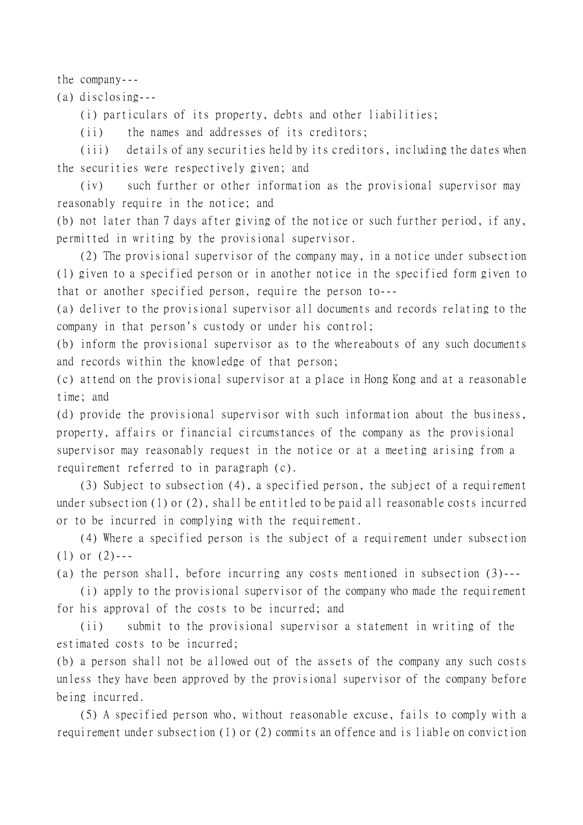the company---

(a) disclosing---

(i) particulars of its property, debts and other liabilities;

(ii) the names and addresses of its creditors;

(iii) details of any securities held by its creditors, including the dates when the securities were respectively given; and

(iv) such further or other information as the provisional supervisor may reasonably require in the notice; and

(b) not later than 7 days after giving of the notice or such further period, if any, permitted in writing by the provisional supervisor.

(2) The provisional supervisor of the company may, in a notice under subsection (1) given to a specified person or in another notice in the specified form given to that or another specified person, require the person to---

(a) deliver to the provisional supervisor all documents and records relating to the company in that person's custody or under his control;

(b) inform the provisional supervisor as to the whereabouts of any such documents and records within the knowledge of that person;

(c) attend on the provisional supervisor at a place in Hong Kong and at a reasonable time; and

(d) provide the provisional supervisor with such information about the business, property, affairs or financial circumstances of the company as the provisional supervisor may reasonably request in the notice or at a meeting arising from a requirement referred to in paragraph (c).

(3) Subject to subsection (4), a specified person, the subject of a requirement under subsection (1) or (2), shall be entitled to be paid all reasonable costs incurred or to be incurred in complying with the requirement.

(4) Where a specified person is the subject of a requirement under subsection  $(1)$  or  $(2)$ ---

(a) the person shall, before incurring any costs mentioned in subsection (3)---

(i) apply to the provisional supervisor of the company who made the requirement for his approval of the costs to be incurred; and

(ii) submit to the provisional supervisor a statement in writing of the estimated costs to be incurred;

(b) a person shall not be allowed out of the assets of the company any such costs unless they have been approved by the provisional supervisor of the company before being incurred.

(5) A specified person who, without reasonable excuse, fails to comply with a requirement under subsection (1) or (2) commits an offence and is liable on conviction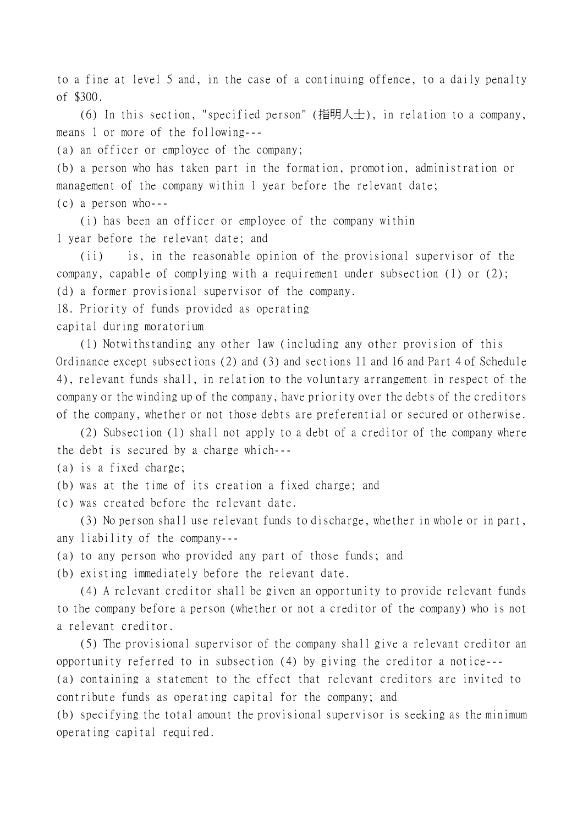to a fine at level 5 and, in the case of a continuing offence, to a daily penalty of \$300.

(6) In this section, "specified person" (指明人士), in relation to a company, means 1 or more of the following---

(a) an officer or employee of the company;

(b) a person who has taken part in the formation, promotion, administration or management of the company within 1 year before the relevant date; (c) a person who---

(i) has been an officer or employee of the company within 1 year before the relevant date; and

(ii) is, in the reasonable opinion of the provisional supervisor of the company, capable of complying with a requirement under subsection (1) or (2); (d) a former provisional supervisor of the company.

18. Priority of funds provided as operating

capital during moratorium

(1) Notwithstanding any other law (including any other provision of this Ordinance except subsections (2) and (3) and sections 11 and 16 and Part 4 of Schedule 4), relevant funds shall, in relation to the voluntary arrangement in respect of the company or the winding up of the company, have priority over the debts of the creditors of the company, whether or not those debts are preferential or secured or otherwise.

(2) Subsection (1) shall not apply to a debt of a creditor of the company where the debt is secured by a charge which---

(a) is a fixed charge;

- (b) was at the time of its creation a fixed charge; and
- (c) was created before the relevant date.

(3) No person shall use relevant funds to discharge, whether in whole or in part, any liability of the company---

(a) to any person who provided any part of those funds; and

(b) existing immediately before the relevant date.

(4) A relevant creditor shall be given an opportunity to provide relevant funds to the company before a person (whether or not a creditor of the company) who is not a relevant creditor.

(5) The provisional supervisor of the company shall give a relevant creditor an opportunity referred to in subsection (4) by giving the creditor a notice--- (a) containing a statement to the effect that relevant creditors are invited to

contribute funds as operating capital for the company; and

(b) specifying the total amount the provisional supervisor is seeking as the minimum operating capital required.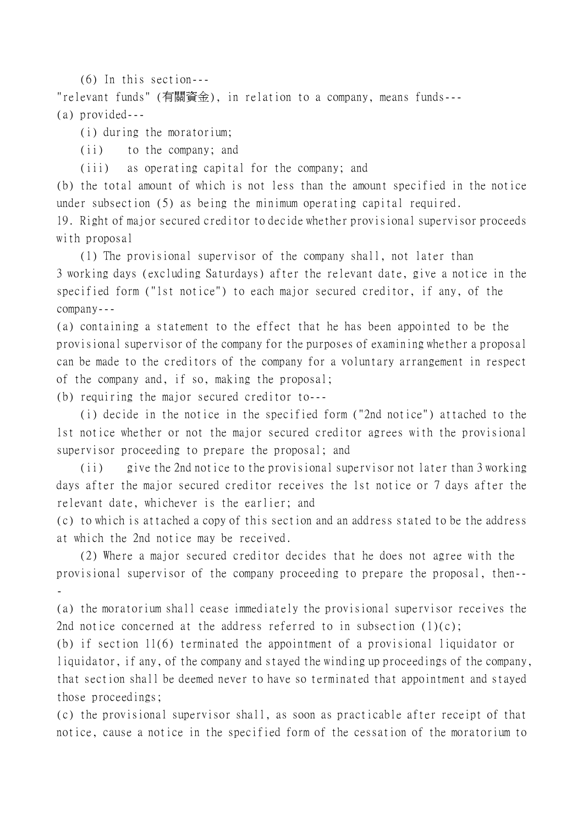(6) In this section---

"relevant funds" (有關資金), in relation to a company, means funds--- (a) provided---

(i) during the moratorium;

(ii) to the company; and

(iii) as operating capital for the company; and

(b) the total amount of which is not less than the amount specified in the notice under subsection (5) as being the minimum operating capital required.

19. Right of major secured creditor to decide whether provisional supervisor proceeds with proposal

(1) The provisional supervisor of the company shall, not later than 3 working days (excluding Saturdays) after the relevant date, give a notice in the specified form ("1st notice") to each major secured creditor, if any, of the company---

(a) containing a statement to the effect that he has been appointed to be the provisional supervisor of the company for the purposes of examining whether a proposal can be made to the creditors of the company for a voluntary arrangement in respect of the company and, if so, making the proposal;

(b) requiring the major secured creditor to---

(i) decide in the notice in the specified form ("2nd notice") attached to the 1st notice whether or not the major secured creditor agrees with the provisional supervisor proceeding to prepare the proposal; and

(ii) give the 2nd notice to the provisional supervisor not later than 3 working days after the major secured creditor receives the 1st notice or 7 days after the relevant date, whichever is the earlier; and

(c) to which is attached a copy of this section and an address stated to be the address at which the 2nd notice may be received.

(2) Where a major secured creditor decides that he does not agree with the provisional supervisor of the company proceeding to prepare the proposal, then-- -

(a) the moratorium shall cease immediately the provisional supervisor receives the 2nd notice concerned at the address referred to in subsection  $(1)(c)$ ;

(b) if section 11(6) terminated the appointment of a provisional liquidator or liquidator, if any, of the company and stayed the winding up proceedings of the company, that section shall be deemed never to have so terminated that appointment and stayed those proceedings;

(c) the provisional supervisor shall, as soon as practicable after receipt of that notice, cause a notice in the specified form of the cessation of the moratorium to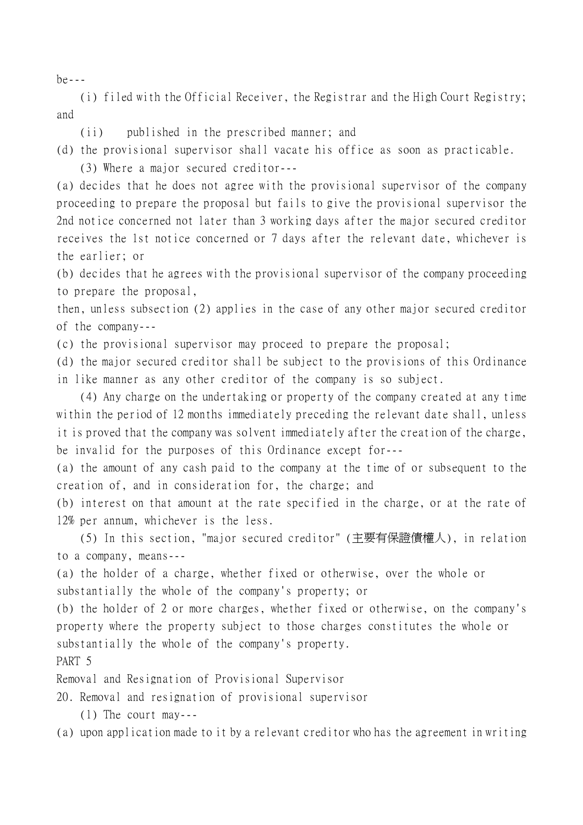be---

(i) filed with the Official Receiver, the Registrar and the High Court Registry; and

(ii) published in the prescribed manner; and

(d) the provisional supervisor shall vacate his office as soon as practicable.

(3) Where a major secured creditor---

(a) decides that he does not agree with the provisional supervisor of the company proceeding to prepare the proposal but fails to give the provisional supervisor the 2nd notice concerned not later than 3 working days after the major secured creditor receives the 1st notice concerned or 7 days after the relevant date, whichever is the earlier; or

(b) decides that he agrees with the provisional supervisor of the company proceeding to prepare the proposal,

then, unless subsection (2) applies in the case of any other major secured creditor of the company---

(c) the provisional supervisor may proceed to prepare the proposal;

(d) the major secured creditor shall be subject to the provisions of this Ordinance in like manner as any other creditor of the company is so subject.

(4) Any charge on the undertaking or property of the company created at any time within the period of 12 months immediately preceding the relevant date shall, unless it is proved that the company was solvent immediately after the creation of the charge, be invalid for the purposes of this Ordinance except for---

(a) the amount of any cash paid to the company at the time of or subsequent to the creation of, and in consideration for, the charge; and

(b) interest on that amount at the rate specified in the charge, or at the rate of 12% per annum, whichever is the less.

(5) In this section, "major secured creditor" (主要有保證債權㆟), in relation to a company, means---

(a) the holder of a charge, whether fixed or otherwise, over the whole or substantially the whole of the company's property; or

(b) the holder of 2 or more charges, whether fixed or otherwise, on the company's property where the property subject to those charges constitutes the whole or substantially the whole of the company's property.

PART 5

Removal and Resignation of Provisional Supervisor

20. Removal and resignation of provisional supervisor

(1) The court may---

(a) upon application made to it by a relevant creditor who has the agreement in writing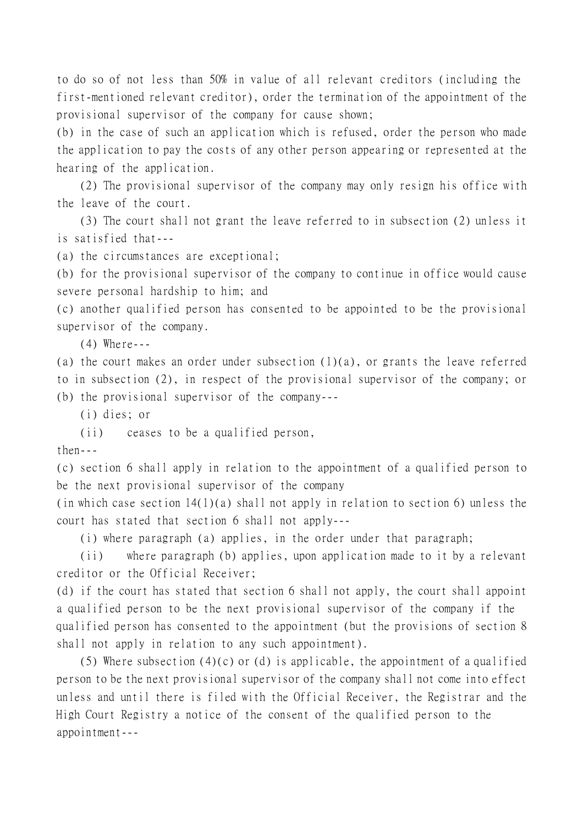to do so of not less than 50% in value of all relevant creditors (including the first-mentioned relevant creditor), order the termination of the appointment of the provisional supervisor of the company for cause shown;

(b) in the case of such an application which is refused, order the person who made the application to pay the costs of any other person appearing or represented at the hearing of the application.

(2) The provisional supervisor of the company may only resign his office with the leave of the court.

(3) The court shall not grant the leave referred to in subsection (2) unless it is satisfied that---

(a) the circumstances are exceptional;

(b) for the provisional supervisor of the company to continue in office would cause severe personal hardship to him; and

(c) another qualified person has consented to be appointed to be the provisional supervisor of the company.

(4) Where---

(a) the court makes an order under subsection (1)(a), or grants the leave referred to in subsection (2), in respect of the provisional supervisor of the company; or (b) the provisional supervisor of the company---

(i) dies; or

(ii) ceases to be a qualified person,

 $then--$ 

(c) section 6 shall apply in relation to the appointment of a qualified person to be the next provisional supervisor of the company

(in which case section 14(1)(a) shall not apply in relation to section 6) unless the court has stated that section 6 shall not apply---

(i) where paragraph (a) applies, in the order under that paragraph;

(ii) where paragraph (b) applies, upon application made to it by a relevant creditor or the Official Receiver;

(d) if the court has stated that section 6 shall not apply, the court shall appoint a qualified person to be the next provisional supervisor of the company if the qualified person has consented to the appointment (but the provisions of section 8 shall not apply in relation to any such appointment).

(5) Where subsection  $(4)(c)$  or (d) is applicable, the appointment of a qualified person to be the next provisional supervisor of the company shall not come into effect unless and until there is filed with the Official Receiver, the Registrar and the High Court Registry a notice of the consent of the qualified person to the appointment---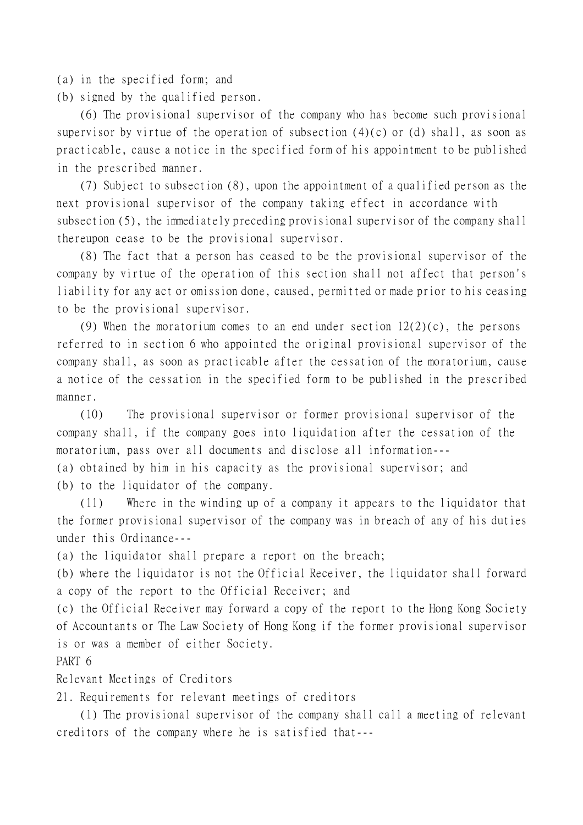(a) in the specified form; and

(b) signed by the qualified person.

(6) The provisional supervisor of the company who has become such provisional supervisor by virtue of the operation of subsection  $(4)(c)$  or  $(d)$  shall, as soon as practicable, cause a notice in the specified form of his appointment to be published in the prescribed manner.

(7) Subject to subsection (8), upon the appointment of a qualified person as the next provisional supervisor of the company taking effect in accordance with subsection (5), the immediately preceding provisional supervisor of the company shall thereupon cease to be the provisional supervisor.

(8) The fact that a person has ceased to be the provisional supervisor of the company by virtue of the operation of this section shall not affect that person's liability for any act or omission done, caused, permitted or made prior to his ceasing to be the provisional supervisor.

(9) When the moratorium comes to an end under section  $12(2)(c)$ , the persons referred to in section 6 who appointed the original provisional supervisor of the company shall, as soon as practicable after the cessation of the moratorium, cause a notice of the cessation in the specified form to be published in the prescribed manner.

(10) The provisional supervisor or former provisional supervisor of the company shall, if the company goes into liquidation after the cessation of the moratorium, pass over all documents and disclose all information--- (a) obtained by him in his capacity as the provisional supervisor; and

(b) to the liquidator of the company.

(11) Where in the winding up of a company it appears to the liquidator that the former provisional supervisor of the company was in breach of any of his duties under this Ordinance---

(a) the liquidator shall prepare a report on the breach;

(b) where the liquidator is not the Official Receiver, the liquidator shall forward a copy of the report to the Official Receiver; and

(c) the Official Receiver may forward a copy of the report to the Hong Kong Society of Accountants or The Law Society of Hong Kong if the former provisional supervisor is or was a member of either Society.

PART 6

Relevant Meetings of Creditors

21. Requirements for relevant meetings of creditors

(1) The provisional supervisor of the company shall call a meeting of relevant creditors of the company where he is satisfied that---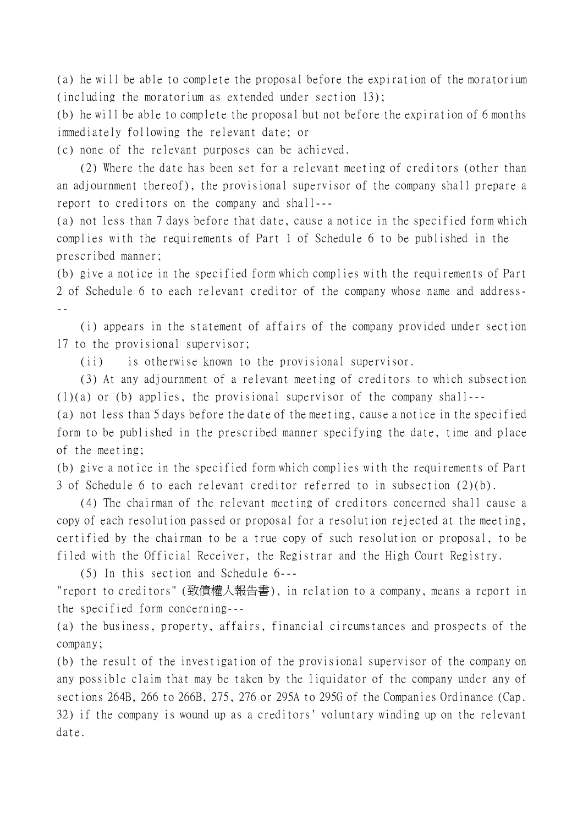(a) he will be able to complete the proposal before the expiration of the moratorium (including the moratorium as extended under section 13);

(b) he will be able to complete the proposal but not before the expiration of 6 months immediately following the relevant date; or

(c) none of the relevant purposes can be achieved.

(2) Where the date has been set for a relevant meeting of creditors (other than an adjournment thereof), the provisional supervisor of the company shall prepare a report to creditors on the company and shall---

(a) not less than 7 days before that date, cause a notice in the specified form which complies with the requirements of Part 1 of Schedule 6 to be published in the prescribed manner;

(b) give a notice in the specified form which complies with the requirements of Part 2 of Schedule 6 to each relevant creditor of the company whose name and address- --

(i) appears in the statement of affairs of the company provided under section 17 to the provisional supervisor;

(ii) is otherwise known to the provisional supervisor.

(3) At any adjournment of a relevant meeting of creditors to which subsection (1)(a) or (b) applies, the provisional supervisor of the company shall---

(a) not less than 5 days before the date of the meeting, cause a notice in the specified form to be published in the prescribed manner specifying the date, time and place of the meeting;

(b) give a notice in the specified form which complies with the requirements of Part 3 of Schedule 6 to each relevant creditor referred to in subsection (2)(b).

(4) The chairman of the relevant meeting of creditors concerned shall cause a copy of each resolution passed or proposal for a resolution rejected at the meeting, certified by the chairman to be a true copy of such resolution or proposal, to be filed with the Official Receiver, the Registrar and the High Court Registry.

(5) In this section and Schedule 6---

"report to creditors" (致債權㆟報告書), in relation to a company, means a report in the specified form concerning---

(a) the business, property, affairs, financial circumstances and prospects of the company;

(b) the result of the investigation of the provisional supervisor of the company on any possible claim that may be taken by the liquidator of the company under any of sections 264B, 266 to 266B, 275, 276 or 295A to 295G of the Companies Ordinance (Cap. 32) if the company is wound up as a creditors' voluntary winding up on the relevant date.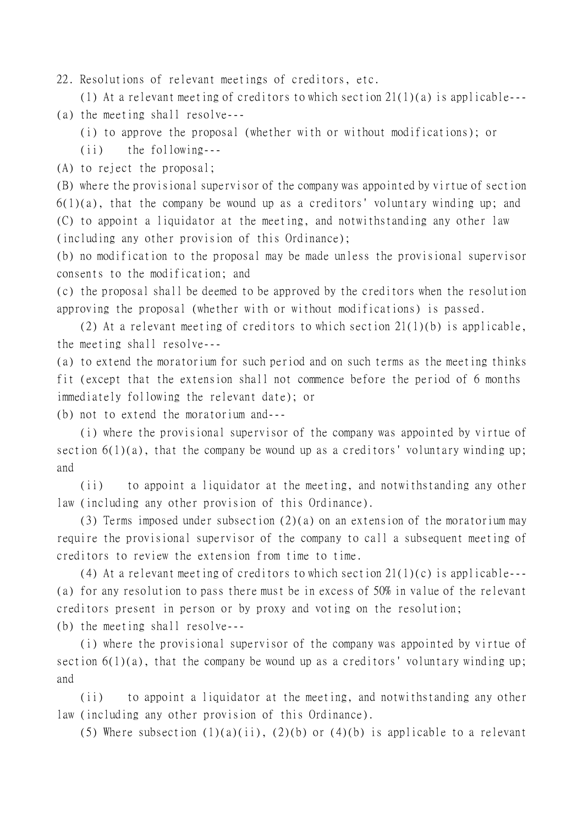22. Resolutions of relevant meetings of creditors, etc.

(1) At a relevant meeting of creditors to which section 21(1)(a) is applicable---

(a) the meeting shall resolve---

(i) to approve the proposal (whether with or without modifications); or

(ii) the following---

(A) to reject the proposal;

(B) where the provisional supervisor of the company was appointed by virtue of section  $6(1)(a)$ , that the company be wound up as a creditors' voluntary winding up; and (C) to appoint a liquidator at the meeting, and notwithstanding any other law (including any other provision of this Ordinance);

(b) no modification to the proposal may be made unless the provisional supervisor consents to the modification; and

(c) the proposal shall be deemed to be approved by the creditors when the resolution approving the proposal (whether with or without modifications) is passed.

(2) At a relevant meeting of creditors to which section 21(1)(b) is applicable, the meeting shall resolve---

(a) to extend the moratorium for such period and on such terms as the meeting thinks fit (except that the extension shall not commence before the period of 6 months immediately following the relevant date); or

(b) not to extend the moratorium and---

(i) where the provisional supervisor of the company was appointed by virtue of section  $6(1)(a)$ , that the company be wound up as a creditors' voluntary winding up; and

(ii) to appoint a liquidator at the meeting, and notwithstanding any other law (including any other provision of this Ordinance).

(3) Terms imposed under subsection (2)(a) on an extension of the moratorium may require the provisional supervisor of the company to call a subsequent meeting of creditors to review the extension from time to time.

(4) At a relevant meeting of creditors to which section 21(1)(c) is applicable--- (a) for any resolution to pass there must be in excess of 50% in value of the relevant creditors present in person or by proxy and voting on the resolution;

(b) the meeting shall resolve---

(i) where the provisional supervisor of the company was appointed by virtue of section  $6(1)(a)$ , that the company be wound up as a creditors' voluntary winding up; and

(ii) to appoint a liquidator at the meeting, and notwithstanding any other law (including any other provision of this Ordinance).

(5) Where subsection  $(1)(a)(ii)$ ,  $(2)(b)$  or  $(4)(b)$  is applicable to a relevant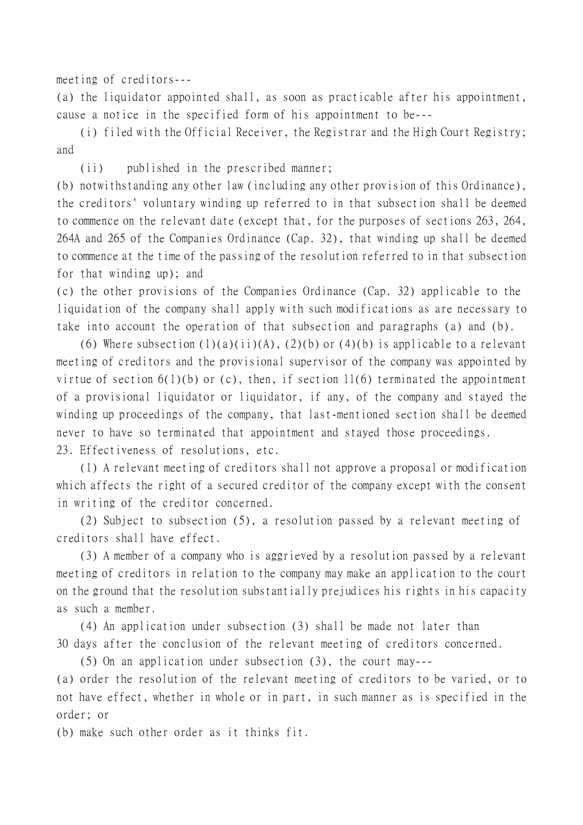meeting of creditors---

(a) the liquidator appointed shall, as soon as practicable after his appointment, cause a notice in the specified form of his appointment to be---

(i) filed with the Official Receiver, the Registrar and the High Court Registry; and

(ii) published in the prescribed manner;

(b) notwithstanding any other law (including any other provision of this Ordinance), the creditors' voluntary winding up referred to in that subsection shall be deemed to commence on the relevant date (except that, for the purposes of sections 263, 264, 264A and 265 of the Companies Ordinance (Cap. 32), that winding up shall be deemed to commence at the time of the passing of the resolution referred to in that subsection for that winding up); and

(c) the other provisions of the Companies Ordinance (Cap. 32) applicable to the liquidation of the company shall apply with such modifications as are necessary to take into account the operation of that subsection and paragraphs (a) and (b).

(6) Where subsection  $(1)(a)(ii)(A)$ ,  $(2)(b)$  or  $(4)(b)$  is applicable to a relevant meeting of creditors and the provisional supervisor of the company was appointed by virtue of section  $6(1)(b)$  or (c), then, if section 11(6) terminated the appointment of a provisional liquidator or liquidator, if any, of the company and stayed the winding up proceedings of the company, that last-mentioned section shall be deemed never to have so terminated that appointment and stayed those proceedings. 23. Effectiveness of resolutions, etc.

(1) A relevant meeting of creditors shall not approve a proposal or modification which affects the right of a secured creditor of the company except with the consent in writing of the creditor concerned.

(2) Subject to subsection (5), a resolution passed by a relevant meeting of creditors shall have effect.

(3) A member of a company who is aggrieved by a resolution passed by a relevant meeting of creditors in relation to the company may make an application to the court on the ground that the resolution substantially prejudices his rights in his capacity as such a member.

(4) An application under subsection (3) shall be made not later than 30 days after the conclusion of the relevant meeting of creditors concerned.

(5) On an application under subsection (3), the court may---

(a) order the resolution of the relevant meeting of creditors to be varied, or to not have effect, whether in whole or in part, in such manner as is specified in the order; or

(b) make such other order as it thinks fit.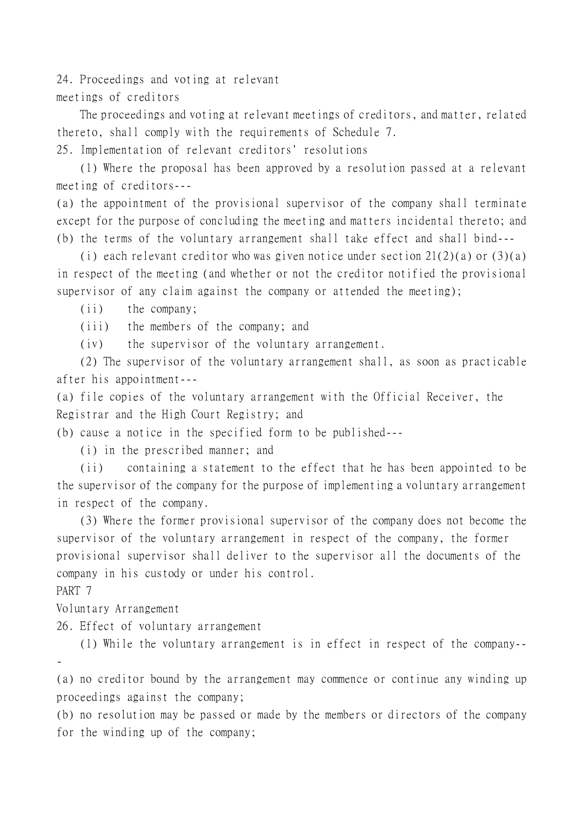24. Proceedings and voting at relevant meetings of creditors

The proceedings and voting at relevant meetings of creditors, and matter, related thereto, shall comply with the requirements of Schedule 7. 25. Implementation of relevant creditors' resolutions

(1) Where the proposal has been approved by a resolution passed at a relevant meeting of creditors---

(a) the appointment of the provisional supervisor of the company shall terminate except for the purpose of concluding the meeting and matters incidental thereto; and (b) the terms of the voluntary arrangement shall take effect and shall bind---

(i) each relevant creditor who was given notice under section  $21(2)(a)$  or  $(3)(a)$ in respect of the meeting (and whether or not the creditor notified the provisional supervisor of any claim against the company or attended the meeting);

(ii) the company;

(iii) the members of the company; and

(iv) the supervisor of the voluntary arrangement.

(2) The supervisor of the voluntary arrangement shall, as soon as practicable after his appointment---

(a) file copies of the voluntary arrangement with the Official Receiver, the Registrar and the High Court Registry; and

(b) cause a notice in the specified form to be published---

(i) in the prescribed manner; and

(ii) containing a statement to the effect that he has been appointed to be the supervisor of the company for the purpose of implementing a voluntary arrangement in respect of the company.

(3) Where the former provisional supervisor of the company does not become the supervisor of the voluntary arrangement in respect of the company, the former provisional supervisor shall deliver to the supervisor all the documents of the company in his custody or under his control.

PART 7

Voluntary Arrangement

26. Effect of voluntary arrangement

(1) While the voluntary arrangement is in effect in respect of the company-- -

(a) no creditor bound by the arrangement may commence or continue any winding up proceedings against the company;

(b) no resolution may be passed or made by the members or directors of the company for the winding up of the company;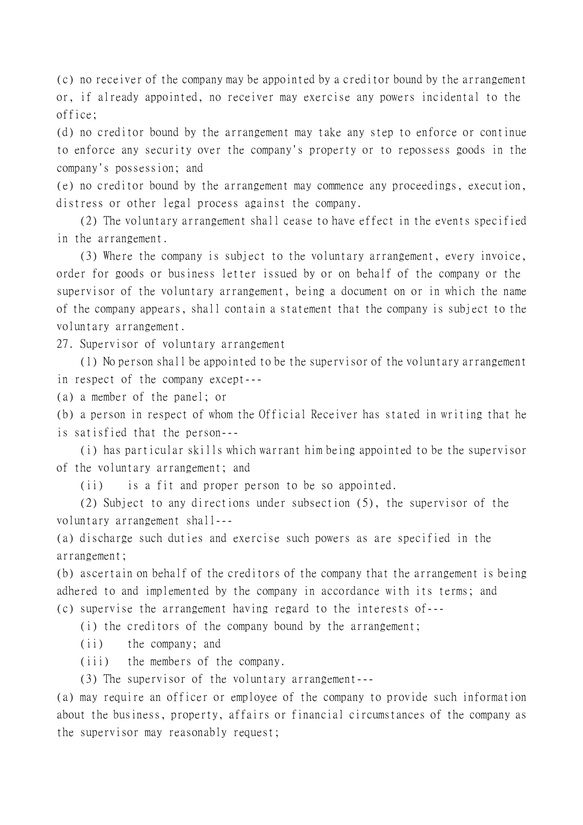(c) no receiver of the company may be appointed by a creditor bound by the arrangement or, if already appointed, no receiver may exercise any powers incidental to the office;

(d) no creditor bound by the arrangement may take any step to enforce or continue to enforce any security over the company's property or to repossess goods in the company's possession; and

(e) no creditor bound by the arrangement may commence any proceedings, execution, distress or other legal process against the company.

(2) The voluntary arrangement shall cease to have effect in the events specified in the arrangement.

(3) Where the company is subject to the voluntary arrangement, every invoice, order for goods or business letter issued by or on behalf of the company or the supervisor of the voluntary arrangement, being a document on or in which the name of the company appears, shall contain a statement that the company is subject to the voluntary arrangement.

27. Supervisor of voluntary arrangement

(1) No person shall be appointed to be the supervisor of the voluntary arrangement in respect of the company except---

(a) a member of the panel; or

(b) a person in respect of whom the Official Receiver has stated in writing that he is satisfied that the person---

(i) has particular skills which warrant him being appointed to be the supervisor of the voluntary arrangement; and

(ii) is a fit and proper person to be so appointed.

(2) Subject to any directions under subsection (5), the supervisor of the voluntary arrangement shall---

(a) discharge such duties and exercise such powers as are specified in the arrangement;

(b) ascertain on behalf of the creditors of the company that the arrangement is being adhered to and implemented by the company in accordance with its terms; and (c) supervise the arrangement having regard to the interests of---

(i) the creditors of the company bound by the arrangement;

(ii) the company; and

(iii) the members of the company.

(3) The supervisor of the voluntary arrangement---

(a) may require an officer or employee of the company to provide such information about the business, property, affairs or financial circumstances of the company as the supervisor may reasonably request;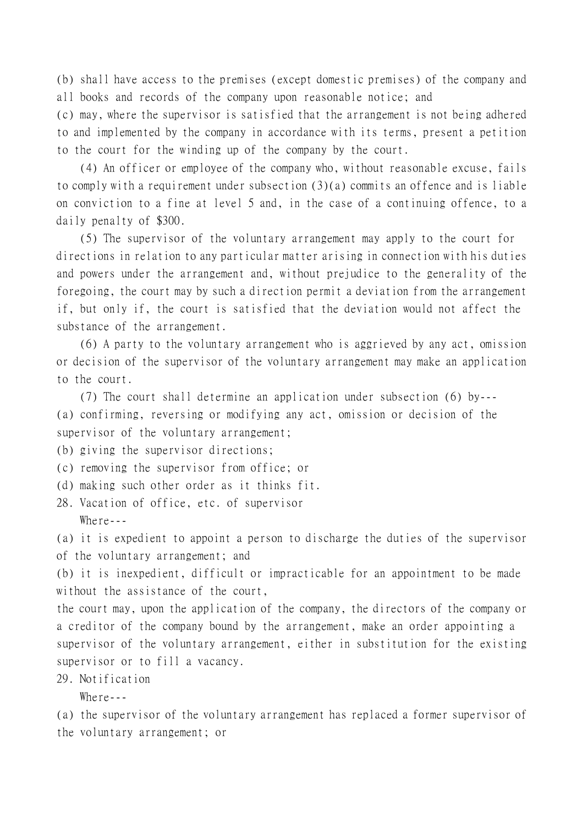(b) shall have access to the premises (except domestic premises) of the company and all books and records of the company upon reasonable notice; and

(c) may, where the supervisor is satisfied that the arrangement is not being adhered to and implemented by the company in accordance with its terms, present a petition to the court for the winding up of the company by the court.

(4) An officer or employee of the company who, without reasonable excuse, fails to comply with a requirement under subsection (3)(a) commits an offence and is liable on conviction to a fine at level 5 and, in the case of a continuing offence, to a daily penalty of \$300.

(5) The supervisor of the voluntary arrangement may apply to the court for directions in relation to any particular matter arising in connection with his duties and powers under the arrangement and, without prejudice to the generality of the foregoing, the court may by such a direction permit a deviation from the arrangement if, but only if, the court is satisfied that the deviation would not affect the substance of the arrangement.

(6) A party to the voluntary arrangement who is aggrieved by any act, omission or decision of the supervisor of the voluntary arrangement may make an application to the court.

(7) The court shall determine an application under subsection (6) by--- (a) confirming, reversing or modifying any act, omission or decision of the supervisor of the voluntary arrangement;

(b) giving the supervisor directions;

- (c) removing the supervisor from office; or
- (d) making such other order as it thinks fit.

28. Vacation of office, etc. of supervisor Where  $-$ 

(a) it is expedient to appoint a person to discharge the duties of the supervisor of the voluntary arrangement; and

(b) it is inexpedient, difficult or impracticable for an appointment to be made without the assistance of the court,

the court may, upon the application of the company, the directors of the company or a creditor of the company bound by the arrangement, make an order appointing a supervisor of the voluntary arrangement, either in substitution for the existing supervisor or to fill a vacancy.

29. Notification

Where  $-$ 

(a) the supervisor of the voluntary arrangement has replaced a former supervisor of the voluntary arrangement; or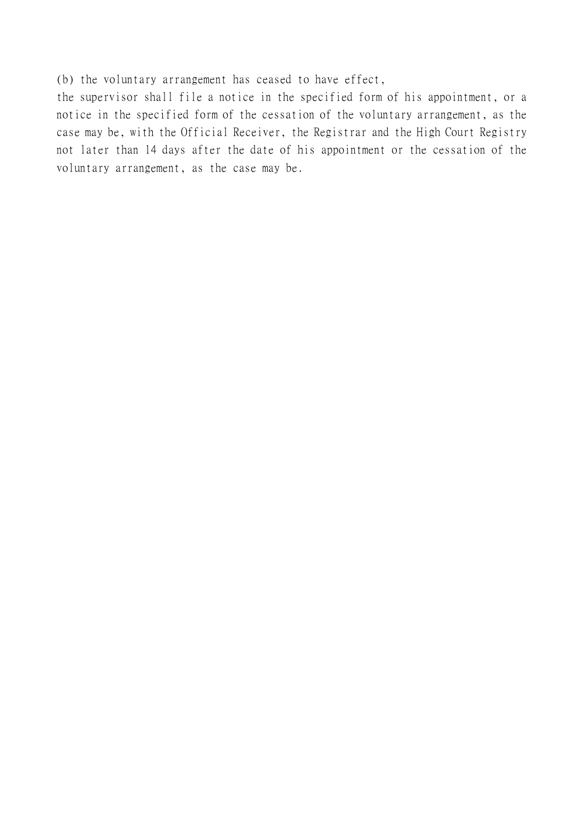(b) the voluntary arrangement has ceased to have effect,

the supervisor shall file a notice in the specified form of his appointment, or a notice in the specified form of the cessation of the voluntary arrangement, as the case may be, with the Official Receiver, the Registrar and the High Court Registry not later than 14 days after the date of his appointment or the cessation of the voluntary arrangement, as the case may be.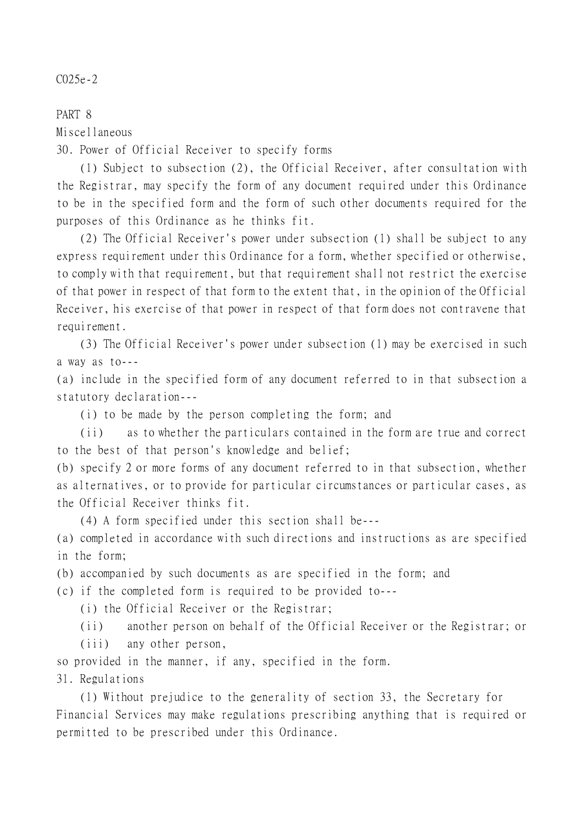## C025e-2

PART 8 Miscellaneous

30. Power of Official Receiver to specify forms

(1) Subject to subsection (2), the Official Receiver, after consultation with the Registrar, may specify the form of any document required under this Ordinance to be in the specified form and the form of such other documents required for the purposes of this Ordinance as he thinks fit.

(2) The Official Receiver's power under subsection (1) shall be subject to any express requirement under this Ordinance for a form, whether specified or otherwise, to comply with that requirement, but that requirement shall not restrict the exercise of that power in respect of that form to the extent that, in the opinion of the Official Receiver, his exercise of that power in respect of that form does not contravene that requirement.

(3) The Official Receiver's power under subsection (1) may be exercised in such a way as to---

(a) include in the specified form of any document referred to in that subsection a statutory declaration---

(i) to be made by the person completing the form; and

(ii) as to whether the particulars contained in the form are true and correct to the best of that person's knowledge and belief;

(b) specify 2 or more forms of any document referred to in that subsection, whether as alternatives, or to provide for particular circumstances or particular cases, as the Official Receiver thinks fit.

(4) A form specified under this section shall be---

(a) completed in accordance with such directions and instructions as are specified in the form;

(b) accompanied by such documents as are specified in the form; and

(c) if the completed form is required to be provided to---

(i) the Official Receiver or the Registrar;

(ii) another person on behalf of the Official Receiver or the Registrar; or

(iii) any other person,

so provided in the manner, if any, specified in the form.

31. Regulations

(1) Without prejudice to the generality of section 33, the Secretary for Financial Services may make regulations prescribing anything that is required or permitted to be prescribed under this Ordinance.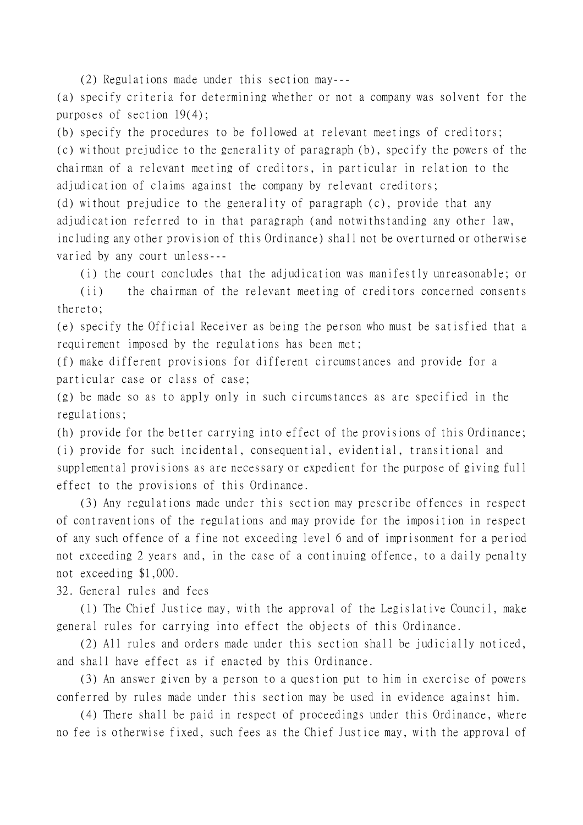(2) Regulations made under this section may---

(a) specify criteria for determining whether or not a company was solvent for the purposes of section 19(4);

(b) specify the procedures to be followed at relevant meetings of creditors; (c) without prejudice to the generality of paragraph (b), specify the powers of the chairman of a relevant meeting of creditors, in particular in relation to the adjudication of claims against the company by relevant creditors;

(d) without prejudice to the generality of paragraph (c), provide that any adjudication referred to in that paragraph (and notwithstanding any other law, including any other provision of this Ordinance) shall not be overturned or otherwise varied by any court unless---

(i) the court concludes that the adjudication was manifestly unreasonable; or

(ii) the chairman of the relevant meeting of creditors concerned consents thereto;

(e) specify the Official Receiver as being the person who must be satisfied that a requirement imposed by the regulations has been met;

(f) make different provisions for different circumstances and provide for a particular case or class of case;

(g) be made so as to apply only in such circumstances as are specified in the regulations;

(h) provide for the better carrying into effect of the provisions of this Ordinance; (i) provide for such incidental, consequential, evidential, transitional and supplemental provisions as are necessary or expedient for the purpose of giving full effect to the provisions of this Ordinance.

(3) Any regulations made under this section may prescribe offences in respect of contraventions of the regulations and may provide for the imposition in respect of any such offence of a fine not exceeding level 6 and of imprisonment for a period not exceeding 2 years and, in the case of a continuing offence, to a daily penalty not exceeding \$1,000.

32. General rules and fees

(1) The Chief Justice may, with the approval of the Legislative Council, make general rules for carrying into effect the objects of this Ordinance.

(2) All rules and orders made under this section shall be judicially noticed, and shall have effect as if enacted by this Ordinance.

(3) An answer given by a person to a question put to him in exercise of powers conferred by rules made under this section may be used in evidence against him.

(4) There shall be paid in respect of proceedings under this Ordinance, where no fee is otherwise fixed, such fees as the Chief Justice may, with the approval of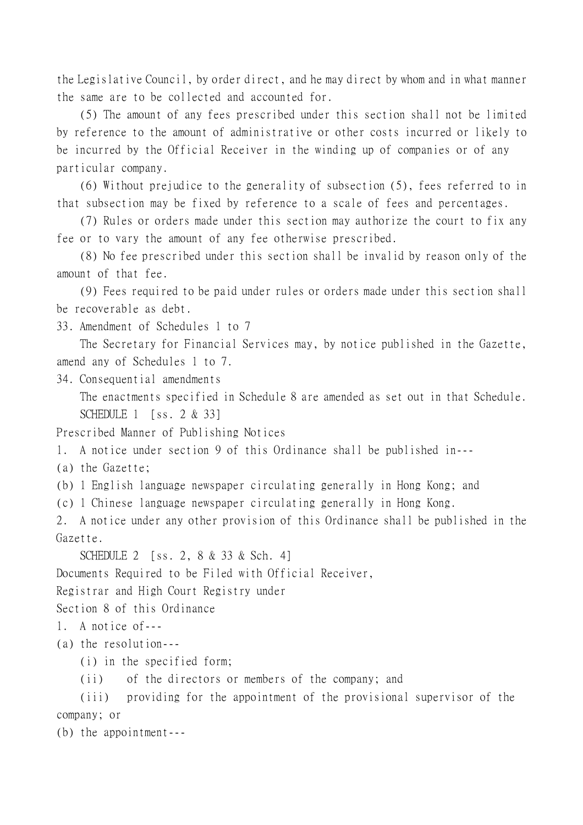the Legislative Council, by order direct, and he may direct by whom and in what manner the same are to be collected and accounted for.

(5) The amount of any fees prescribed under this section shall not be limited by reference to the amount of administrative or other costs incurred or likely to be incurred by the Official Receiver in the winding up of companies or of any particular company.

(6) Without prejudice to the generality of subsection (5), fees referred to in that subsection may be fixed by reference to a scale of fees and percentages.

(7) Rules or orders made under this section may authorize the court to fix any fee or to vary the amount of any fee otherwise prescribed.

(8) No fee prescribed under this section shall be invalid by reason only of the amount of that fee.

(9) Fees required to be paid under rules or orders made under this section shall be recoverable as debt.

33. Amendment of Schedules 1 to 7

The Secretary for Financial Services may, by notice published in the Gazette, amend any of Schedules 1 to 7.

34. Consequential amendments

The enactments specified in Schedule 8 are amended as set out in that Schedule. SCHEDULE 1 [ss. 2 & 33]

Prescribed Manner of Publishing Notices

1. A notice under section 9 of this Ordinance shall be published in---

(a) the Gazette;

(b) 1 English language newspaper circulating generally in Hong Kong; and

(c) 1 Chinese language newspaper circulating generally in Hong Kong.

2. A notice under any other provision of this Ordinance shall be published in the Gazette.

SCHEDULE 2 [ss. 2, 8 & 33 & Sch. 4]

Documents Required to be Filed with Official Receiver,

Registrar and High Court Registry under

Section 8 of this Ordinance

1. A notice of---

(a) the resolution---

(i) in the specified form;

(ii) of the directors or members of the company; and

(iii) providing for the appointment of the provisional supervisor of the company; or

(b) the appointment---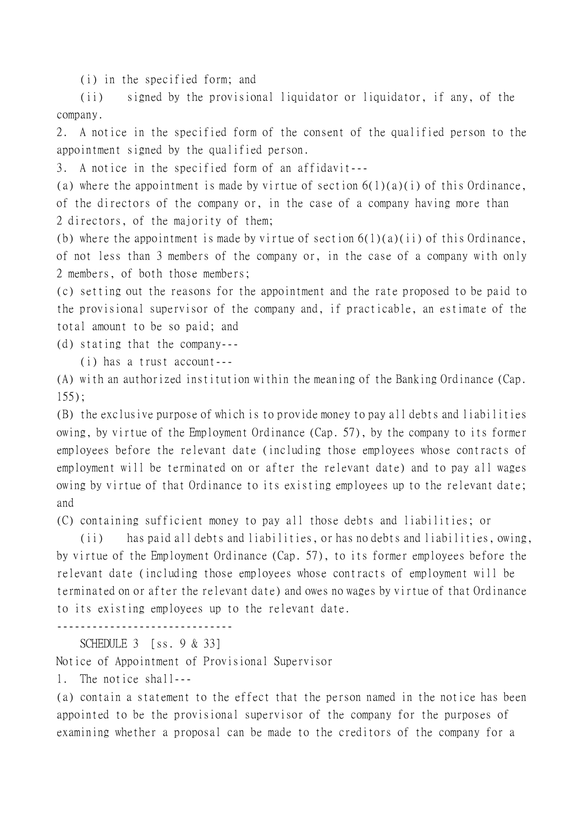(i) in the specified form; and

(ii) signed by the provisional liquidator or liquidator, if any, of the company.

2. A notice in the specified form of the consent of the qualified person to the appointment signed by the qualified person.

3. A notice in the specified form of an affidavit---

(a) where the appointment is made by virtue of section  $6(1)(a)(i)$  of this Ordinance, of the directors of the company or, in the case of a company having more than 2 directors, of the majority of them;

(b) where the appointment is made by virtue of section  $6(1)(a)(ii)$  of this Ordinance, of not less than 3 members of the company or, in the case of a company with only 2 members, of both those members;

(c) setting out the reasons for the appointment and the rate proposed to be paid to the provisional supervisor of the company and, if practicable, an estimate of the total amount to be so paid; and

(d) stating that the company---

(i) has a trust account---

(A) with an authorized institution within the meaning of the Banking Ordinance (Cap. 155);

(B) the exclusive purpose of which is to provide money to pay all debts and liabilities owing, by virtue of the Employment Ordinance (Cap. 57), by the company to its former employees before the relevant date (including those employees whose contracts of employment will be terminated on or after the relevant date) and to pay all wages owing by virtue of that Ordinance to its existing employees up to the relevant date; and

(C) containing sufficient money to pay all those debts and liabilities; or

(ii) has paid all debts and liabilities, or has no debts and liabilities, owing, by virtue of the Employment Ordinance (Cap. 57), to its former employees before the relevant date (including those employees whose contracts of employment will be terminated on or after the relevant date) and owes no wages by virtue of that Ordinance to its existing employees up to the relevant date.

------------------------------

SCHEDULE 3 [ss. 9 & 33]

Notice of Appointment of Provisional Supervisor

1. The notice shall---

(a) contain a statement to the effect that the person named in the notice has been appointed to be the provisional supervisor of the company for the purposes of examining whether a proposal can be made to the creditors of the company for a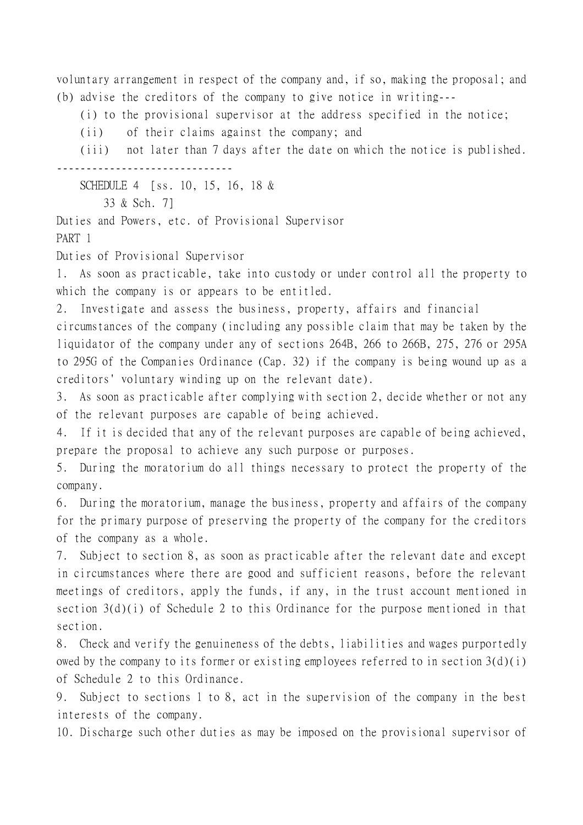voluntary arrangement in respect of the company and, if so, making the proposal; and (b) advise the creditors of the company to give notice in writing---

(i) to the provisional supervisor at the address specified in the notice;

(ii) of their claims against the company; and

(iii) not later than 7 days after the date on which the notice is published. ------------------------------

SCHEDULE 4 [ss. 10, 15, 16, 18 &

33 & Sch. 7]

Duties and Powers, etc. of Provisional Supervisor

PART 1

Duties of Provisional Supervisor

1. As soon as practicable, take into custody or under control all the property to which the company is or appears to be entitled.

2. Investigate and assess the business, property, affairs and financial

circumstances of the company (including any possible claim that may be taken by the liquidator of the company under any of sections 264B, 266 to 266B, 275, 276 or 295A to 295G of the Companies Ordinance (Cap. 32) if the company is being wound up as a creditors' voluntary winding up on the relevant date).

3. As soon as practicable after complying with section 2, decide whether or not any of the relevant purposes are capable of being achieved.

4. If it is decided that any of the relevant purposes are capable of being achieved, prepare the proposal to achieve any such purpose or purposes.

5. During the moratorium do all things necessary to protect the property of the company.

6. During the moratorium, manage the business, property and affairs of the company for the primary purpose of preserving the property of the company for the creditors of the company as a whole.

7. Subject to section 8, as soon as practicable after the relevant date and except in circumstances where there are good and sufficient reasons, before the relevant meetings of creditors, apply the funds, if any, in the trust account mentioned in section 3(d)(i) of Schedule 2 to this Ordinance for the purpose mentioned in that section.

8. Check and verify the genuineness of the debts, liabilities and wages purportedly owed by the company to its former or existing employees referred to in section  $3(d)(i)$ of Schedule 2 to this Ordinance.

9. Subject to sections 1 to 8, act in the supervision of the company in the best interests of the company.

10. Discharge such other duties as may be imposed on the provisional supervisor of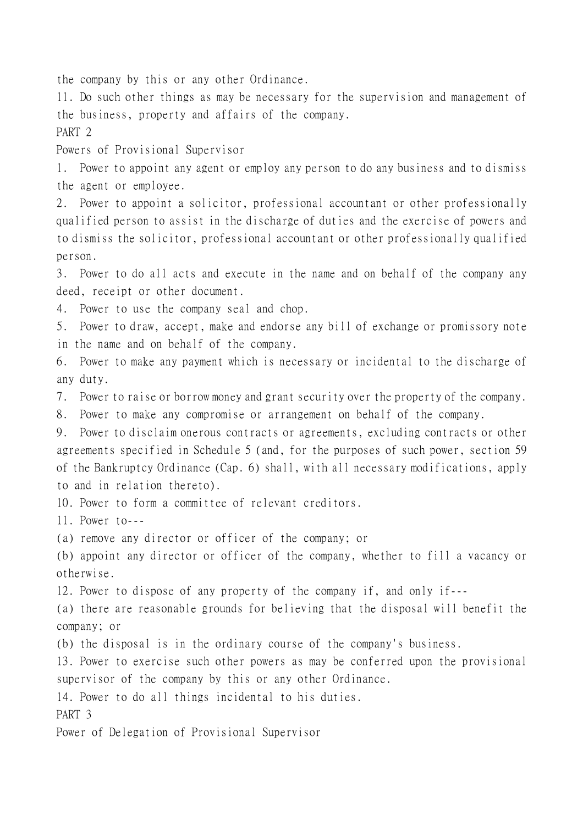the company by this or any other Ordinance.

11. Do such other things as may be necessary for the supervision and management of the business, property and affairs of the company.

PART 2

Powers of Provisional Supervisor

1. Power to appoint any agent or employ any person to do any business and to dismiss the agent or employee.

2. Power to appoint a solicitor, professional accountant or other professionally qualified person to assist in the discharge of duties and the exercise of powers and to dismiss the solicitor, professional accountant or other professionally qualified person.

3. Power to do all acts and execute in the name and on behalf of the company any deed, receipt or other document.

4. Power to use the company seal and chop.

5. Power to draw, accept, make and endorse any bill of exchange or promissory note in the name and on behalf of the company.

6. Power to make any payment which is necessary or incidental to the discharge of any duty.

7. Power to raise or borrow money and grant security over the property of the company.

8. Power to make any compromise or arrangement on behalf of the company.

9. Power to disclaim onerous contracts or agreements, excluding contracts or other agreements specified in Schedule 5 (and, for the purposes of such power, section 59 of the Bankruptcy Ordinance (Cap. 6) shall, with all necessary modifications, apply to and in relation thereto).

10. Power to form a committee of relevant creditors.

11. Power to---

(a) remove any director or officer of the company; or

(b) appoint any director or officer of the company, whether to fill a vacancy or otherwise.

12. Power to dispose of any property of the company if, and only if---

(a) there are reasonable grounds for believing that the disposal will benefit the company; or

(b) the disposal is in the ordinary course of the company's business.

13. Power to exercise such other powers as may be conferred upon the provisional supervisor of the company by this or any other Ordinance.

14. Power to do all things incidental to his duties.

PART 3

Power of Delegation of Provisional Supervisor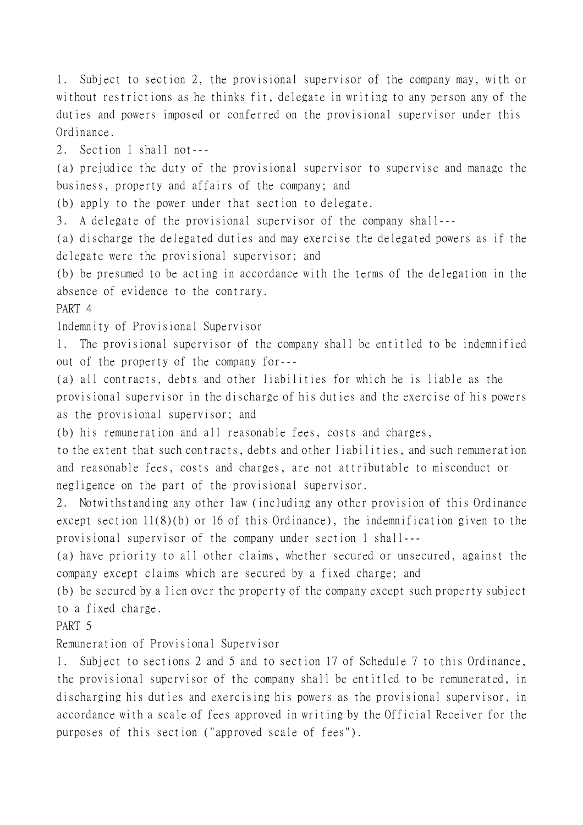1. Subject to section 2, the provisional supervisor of the company may, with or without restrictions as he thinks fit, delegate in writing to any person any of the duties and powers imposed or conferred on the provisional supervisor under this Ordinance. 2. Section 1 shall not--- (a) prejudice the duty of the provisional supervisor to supervise and manage the business, property and affairs of the company; and (b) apply to the power under that section to delegate. 3. A delegate of the provisional supervisor of the company shall--- (a) discharge the delegated duties and may exercise the delegated powers as if the delegate were the provisional supervisor; and (b) be presumed to be acting in accordance with the terms of the delegation in the absence of evidence to the contrary. PART 4 Indemnity of Provisional Supervisor 1. The provisional supervisor of the company shall be entitled to be indemnified out of the property of the company for--- (a) all contracts, debts and other liabilities for which he is liable as the provisional supervisor in the discharge of his duties and the exercise of his powers as the provisional supervisor; and (b) his remuneration and all reasonable fees, costs and charges, to the extent that such contracts, debts and other liabilities, and such remuneration and reasonable fees, costs and charges, are not attributable to misconduct or negligence on the part of the provisional supervisor. 2. Notwithstanding any other law (including any other provision of this Ordinance except section 11(8)(b) or 16 of this Ordinance), the indemnification given to the provisional supervisor of the company under section 1 shall--- (a) have priority to all other claims, whether secured or unsecured, against the company except claims which are secured by a fixed charge; and (b) be secured by a lien over the property of the company except such property subject to a fixed charge. PART 5 Remuneration of Provisional Supervisor 1. Subject to sections 2 and 5 and to section 17 of Schedule 7 to this Ordinance, the provisional supervisor of the company shall be entitled to be remunerated, in discharging his duties and exercising his powers as the provisional supervisor, in accordance with a scale of fees approved in writing by the Official Receiver for the purposes of this section ("approved scale of fees").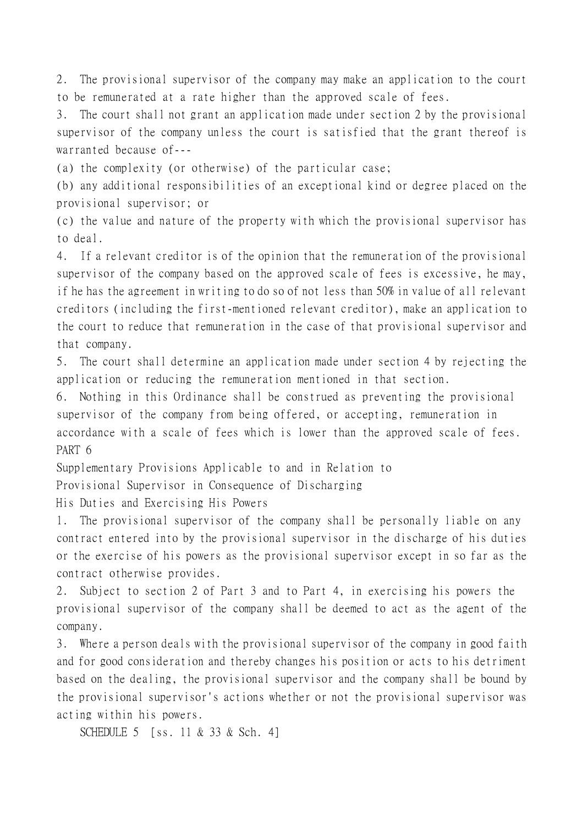2. The provisional supervisor of the company may make an application to the court to be remunerated at a rate higher than the approved scale of fees.

3. The court shall not grant an application made under section 2 by the provisional supervisor of the company unless the court is satisfied that the grant thereof is warranted because of---

(a) the complexity (or otherwise) of the particular case;

(b) any additional responsibilities of an exceptional kind or degree placed on the provisional supervisor; or

(c) the value and nature of the property with which the provisional supervisor has to deal.

4. If a relevant creditor is of the opinion that the remuneration of the provisional supervisor of the company based on the approved scale of fees is excessive, he may, if he has the agreement in writing to do so of not less than 50% in value of all relevant creditors (including the first-mentioned relevant creditor), make an application to the court to reduce that remuneration in the case of that provisional supervisor and that company.

5. The court shall determine an application made under section 4 by rejecting the application or reducing the remuneration mentioned in that section.

6. Nothing in this Ordinance shall be construed as preventing the provisional supervisor of the company from being offered, or accepting, remuneration in accordance with a scale of fees which is lower than the approved scale of fees. PART 6

Supplementary Provisions Applicable to and in Relation to

Provisional Supervisor in Consequence of Discharging

His Duties and Exercising His Powers

1. The provisional supervisor of the company shall be personally liable on any contract entered into by the provisional supervisor in the discharge of his duties or the exercise of his powers as the provisional supervisor except in so far as the contract otherwise provides.

2. Subject to section 2 of Part 3 and to Part 4, in exercising his powers the provisional supervisor of the company shall be deemed to act as the agent of the company.

3. Where a person deals with the provisional supervisor of the company in good faith and for good consideration and thereby changes his position or acts to his detriment based on the dealing, the provisional supervisor and the company shall be bound by the provisional supervisor's actions whether or not the provisional supervisor was acting within his powers.

SCHEDULE 5 [ss. 11 & 33 & Sch. 4]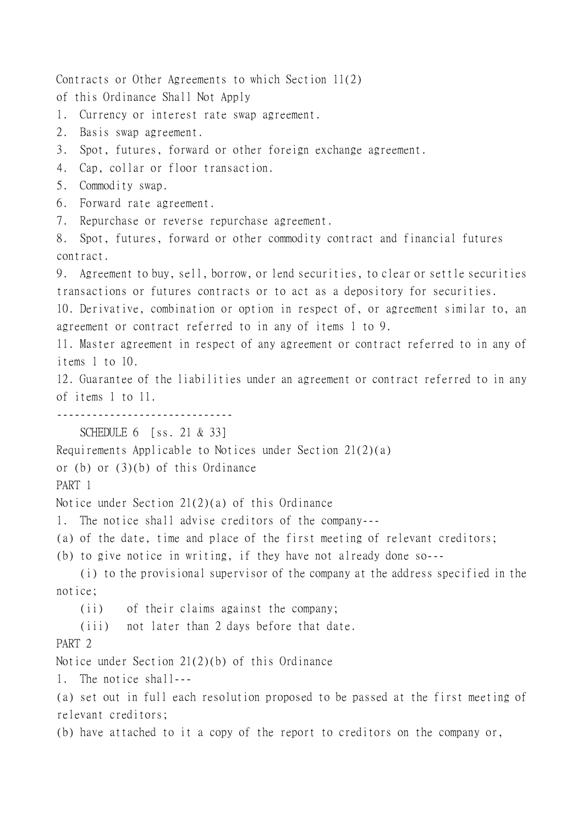Contracts or Other Agreements to which Section 11(2) of this Ordinance Shall Not Apply 1. Currency or interest rate swap agreement. 2. Basis swap agreement. 3. Spot, futures, forward or other foreign exchange agreement. 4. Cap, collar or floor transaction. 5. Commodity swap. 6. Forward rate agreement. 7. Repurchase or reverse repurchase agreement. 8. Spot, futures, forward or other commodity contract and financial futures contract. 9. Agreement to buy, sell, borrow, or lend securities, to clear or settle securities transactions or futures contracts or to act as a depository for securities. 10. Derivative, combination or option in respect of, or agreement similar to, an agreement or contract referred to in any of items 1 to 9. 11. Master agreement in respect of any agreement or contract referred to in any of items 1 to 10. 12. Guarantee of the liabilities under an agreement or contract referred to in any of items 1 to 11. ------------------------------ SCHEDULE 6 [ss. 21 & 33] Requirements Applicable to Notices under Section 21(2)(a) or (b) or (3)(b) of this Ordinance PART 1 Notice under Section 21(2)(a) of this Ordinance 1. The notice shall advise creditors of the company--- (a) of the date, time and place of the first meeting of relevant creditors; (b) to give notice in writing, if they have not already done so--- (i) to the provisional supervisor of the company at the address specified in the notice; (ii) of their claims against the company; (iii) not later than 2 days before that date. PART<sub>2</sub> Notice under Section 21(2)(b) of this Ordinance 1. The notice shall--- (a) set out in full each resolution proposed to be passed at the first meeting of relevant creditors; (b) have attached to it a copy of the report to creditors on the company or,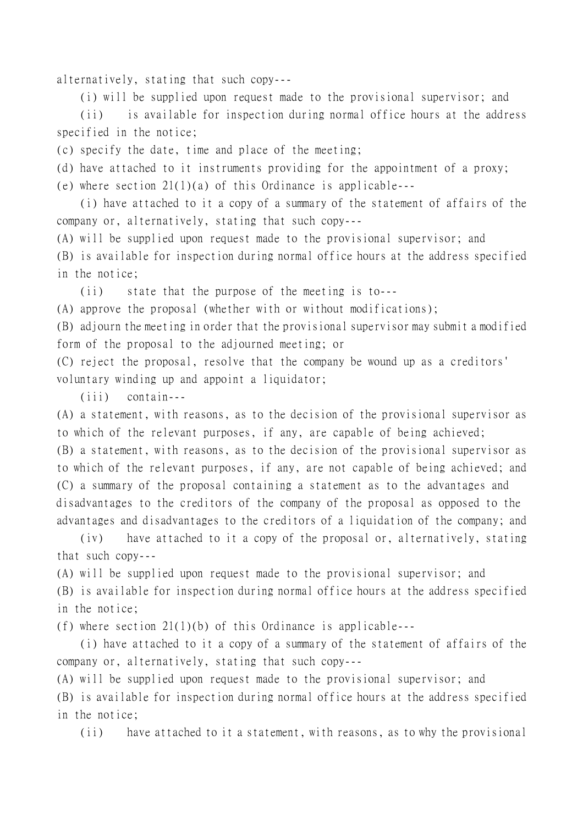alternatively, stating that such copy---

(i) will be supplied upon request made to the provisional supervisor; and

(ii) is available for inspection during normal office hours at the address specified in the notice;

(c) specify the date, time and place of the meeting;

(d) have attached to it instruments providing for the appointment of a proxy;

(e) where section 21(1)(a) of this Ordinance is applicable---

(i) have attached to it a copy of a summary of the statement of affairs of the company or, alternatively, stating that such copy---

(A) will be supplied upon request made to the provisional supervisor; and

(B) is available for inspection during normal office hours at the address specified in the notice;

(ii) state that the purpose of the meeting is to---

(A) approve the proposal (whether with or without modifications);

(B) adjourn the meeting in order that the provisional supervisor may submit a modified form of the proposal to the adjourned meeting; or

(C) reject the proposal, resolve that the company be wound up as a creditors' voluntary winding up and appoint a liquidator;

(iii) contain---

(A) a statement, with reasons, as to the decision of the provisional supervisor as to which of the relevant purposes, if any, are capable of being achieved; (B) a statement, with reasons, as to the decision of the provisional supervisor as to which of the relevant purposes, if any, are not capable of being achieved; and (C) a summary of the proposal containing a statement as to the advantages and disadvantages to the creditors of the company of the proposal as opposed to the advantages and disadvantages to the creditors of a liquidation of the company; and

(iv) have attached to it a copy of the proposal or, alternatively, stating that such copy---

(A) will be supplied upon request made to the provisional supervisor; and (B) is available for inspection during normal office hours at the address specified in the notice;

(f) where section  $21(1)(b)$  of this Ordinance is applicable---

(i) have attached to it a copy of a summary of the statement of affairs of the company or, alternatively, stating that such copy---

(A) will be supplied upon request made to the provisional supervisor; and (B) is available for inspection during normal office hours at the address specified in the notice;

(ii) have attached to it a statement, with reasons, as to why the provisional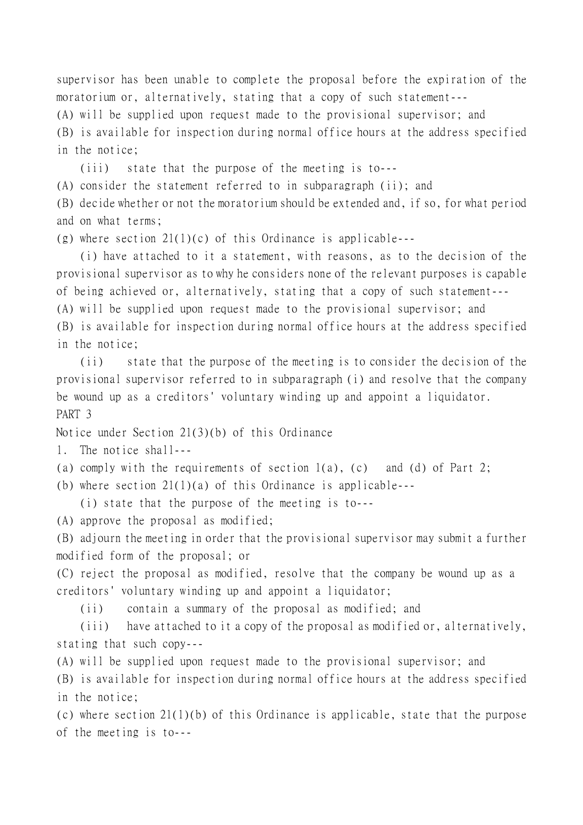supervisor has been unable to complete the proposal before the expiration of the moratorium or, alternatively, stating that a copy of such statement--- (A) will be supplied upon request made to the provisional supervisor; and (B) is available for inspection during normal office hours at the address specified

in the notice;

(iii) state that the purpose of the meeting is to---

(A) consider the statement referred to in subparagraph (ii); and

(B) decide whether or not the moratorium should be extended and, if so, for what period and on what terms;

(g) where section  $21(1)(c)$  of this Ordinance is applicable---

(i) have attached to it a statement, with reasons, as to the decision of the provisional supervisor as to why he considers none of the relevant purposes is capable of being achieved or, alternatively, stating that a copy of such statement--- (A) will be supplied upon request made to the provisional supervisor; and (B) is available for inspection during normal office hours at the address specified in the notice;

(ii) state that the purpose of the meeting is to consider the decision of the provisional supervisor referred to in subparagraph (i) and resolve that the company be wound up as a creditors' voluntary winding up and appoint a liquidator. PART 3

Notice under Section 21(3)(b) of this Ordinance

1. The notice shall---

- (a) comply with the requirements of section  $1(a)$ , (c) and (d) of Part 2;
- (b) where section  $21(1)(a)$  of this Ordinance is applicable---

(i) state that the purpose of the meeting is to---

(A) approve the proposal as modified;

(B) adjourn the meeting in order that the provisional supervisor may submit a further modified form of the proposal; or

(C) reject the proposal as modified, resolve that the company be wound up as a creditors' voluntary winding up and appoint a liquidator;

(ii) contain a summary of the proposal as modified; and

(iii) have attached to it a copy of the proposal as modified or, alternatively, stating that such copy---

(A) will be supplied upon request made to the provisional supervisor; and

(B) is available for inspection during normal office hours at the address specified in the notice;

(c) where section  $21(1)(b)$  of this Ordinance is applicable, state that the purpose of the meeting is to---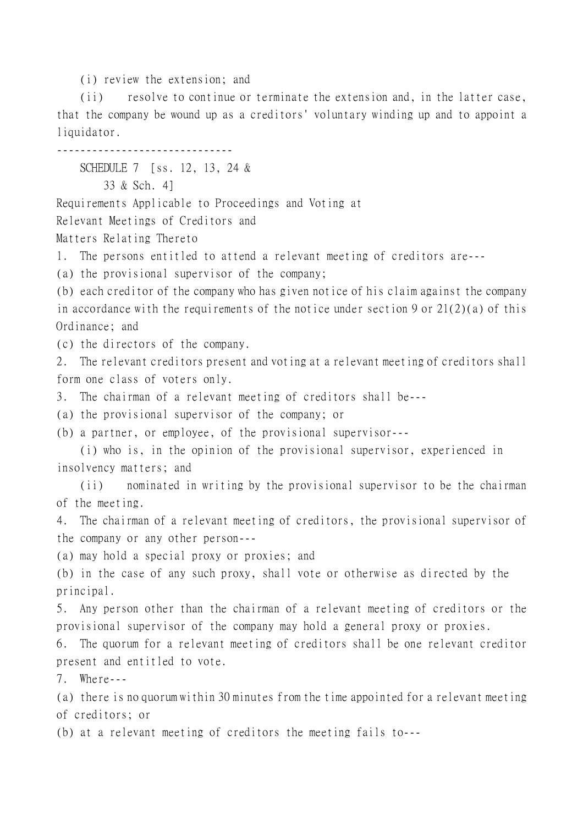(i) review the extension; and

(ii) resolve to continue or terminate the extension and, in the latter case, that the company be wound up as a creditors' voluntary winding up and to appoint a liquidator.

------------------------------

SCHEDULE 7 [ss. 12, 13, 24 &

33 & Sch. 4]

Requirements Applicable to Proceedings and Voting at

Relevant Meetings of Creditors and

Matters Relating Thereto

1. The persons entitled to attend a relevant meeting of creditors are---

(a) the provisional supervisor of the company;

(b) each creditor of the company who has given notice of his claim against the company in accordance with the requirements of the notice under section 9 or 21(2)(a) of this Ordinance; and

(c) the directors of the company.

2. The relevant creditors present and voting at a relevant meeting of creditors shall form one class of voters only.

3. The chairman of a relevant meeting of creditors shall be---

(a) the provisional supervisor of the company; or

(b) a partner, or employee, of the provisional supervisor---

(i) who is, in the opinion of the provisional supervisor, experienced in insolvency matters; and

(ii) nominated in writing by the provisional supervisor to be the chairman of the meeting.

4. The chairman of a relevant meeting of creditors, the provisional supervisor of the company or any other person---

(a) may hold a special proxy or proxies; and

(b) in the case of any such proxy, shall vote or otherwise as directed by the principal.

5. Any person other than the chairman of a relevant meeting of creditors or the provisional supervisor of the company may hold a general proxy or proxies.

6. The quorum for a relevant meeting of creditors shall be one relevant creditor present and entitled to vote.

7. Where---

(a) there is no quorum within 30 minutes from the time appointed for a relevant meeting of creditors; or

(b) at a relevant meeting of creditors the meeting fails to---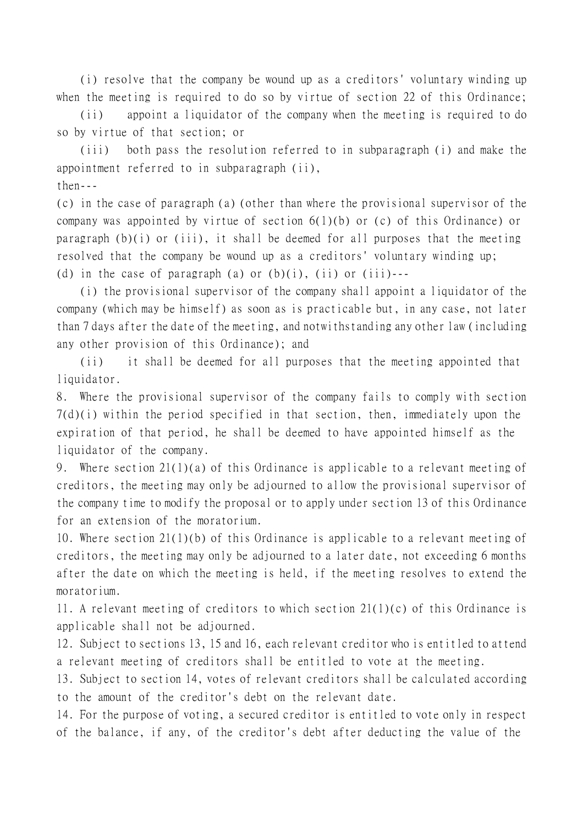(i) resolve that the company be wound up as a creditors' voluntary winding up when the meeting is required to do so by virtue of section 22 of this Ordinance;

(ii) appoint a liquidator of the company when the meeting is required to do so by virtue of that section; or

(iii) both pass the resolution referred to in subparagraph (i) and make the appointment referred to in subparagraph (ii),

 $then--$ 

(c) in the case of paragraph (a) (other than where the provisional supervisor of the company was appointed by virtue of section 6(1)(b) or (c) of this Ordinance) or paragraph  $(b)(i)$  or (iii), it shall be deemed for all purposes that the meeting resolved that the company be wound up as a creditors' voluntary winding up; (d) in the case of paragraph (a) or  $(b)(i)$ ,  $(ii)$  or  $(iii)$ ---

(i) the provisional supervisor of the company shall appoint a liquidator of the company (which may be himself) as soon as is practicable but, in any case, not later than 7 days after the date of the meeting, and notwithstanding any other law (including any other provision of this Ordinance); and

(ii) it shall be deemed for all purposes that the meeting appointed that liquidator.

8. Where the provisional supervisor of the company fails to comply with section 7(d)(i) within the period specified in that section, then, immediately upon the expiration of that period, he shall be deemed to have appointed himself as the liquidator of the company.

9. Where section 21(1)(a) of this Ordinance is applicable to a relevant meeting of creditors, the meeting may only be adjourned to allow the provisional supervisor of the company time to modify the proposal or to apply under section 13 of this Ordinance for an extension of the moratorium.

10. Where section 21(1)(b) of this Ordinance is applicable to a relevant meeting of creditors, the meeting may only be adjourned to a later date, not exceeding 6 months after the date on which the meeting is held, if the meeting resolves to extend the moratorium.

11. A relevant meeting of creditors to which section 21(1)(c) of this Ordinance is applicable shall not be adjourned.

12. Subject to sections 13, 15 and 16, each relevant creditor who is entitled to attend a relevant meeting of creditors shall be entitled to vote at the meeting.

13. Subject to section 14, votes of relevant creditors shall be calculated according to the amount of the creditor's debt on the relevant date.

14. For the purpose of voting, a secured creditor is entitled to vote only in respect of the balance, if any, of the creditor's debt after deducting the value of the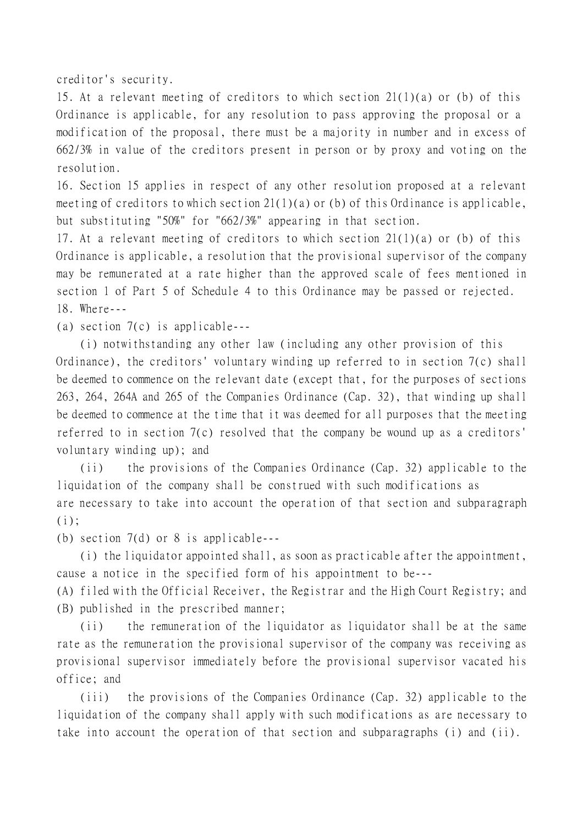creditor's security.

15. At a relevant meeting of creditors to which section 21(1)(a) or (b) of this Ordinance is applicable, for any resolution to pass approving the proposal or a modification of the proposal, there must be a majority in number and in excess of 662/3% in value of the creditors present in person or by proxy and voting on the resolution.

16. Section 15 applies in respect of any other resolution proposed at a relevant meeting of creditors to which section  $21(1)(a)$  or (b) of this Ordinance is applicable, but substituting "50%" for "662/3%" appearing in that section.

17. At a relevant meeting of creditors to which section 21(1)(a) or (b) of this Ordinance is applicable, a resolution that the provisional supervisor of the company may be remunerated at a rate higher than the approved scale of fees mentioned in section 1 of Part 5 of Schedule 4 to this Ordinance may be passed or rejected. 18. Where---

(a) section 7(c) is applicable---

(i) notwithstanding any other law (including any other provision of this Ordinance), the creditors' voluntary winding up referred to in section 7(c) shall be deemed to commence on the relevant date (except that, for the purposes of sections 263, 264, 264A and 265 of the Companies Ordinance (Cap. 32), that winding up shall be deemed to commence at the time that it was deemed for all purposes that the meeting referred to in section 7(c) resolved that the company be wound up as a creditors' voluntary winding up); and

(ii) the provisions of the Companies Ordinance (Cap. 32) applicable to the liquidation of the company shall be construed with such modifications as are necessary to take into account the operation of that section and subparagraph  $(i)$ :

(b) section 7(d) or 8 is applicable---

(i) the liquidator appointed shall, as soon as practicable after the appointment, cause a notice in the specified form of his appointment to be---

(A) filed with the Official Receiver, the Registrar and the High Court Registry; and (B) published in the prescribed manner;

(ii) the remuneration of the liquidator as liquidator shall be at the same rate as the remuneration the provisional supervisor of the company was receiving as provisional supervisor immediately before the provisional supervisor vacated his office; and

(iii) the provisions of the Companies Ordinance (Cap. 32) applicable to the liquidation of the company shall apply with such modifications as are necessary to take into account the operation of that section and subparagraphs (i) and (ii).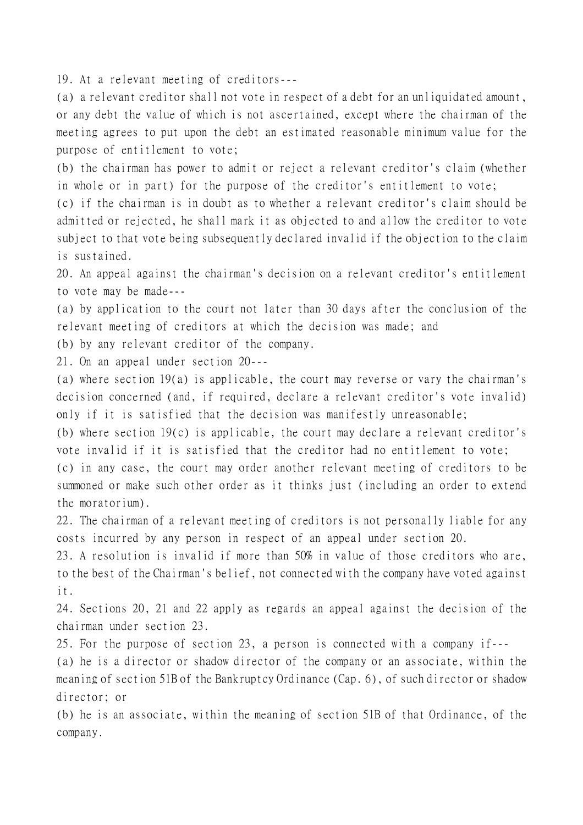19. At a relevant meeting of creditors---

(a) a relevant creditor shall not vote in respect of a debt for an unliquidated amount, or any debt the value of which is not ascertained, except where the chairman of the meeting agrees to put upon the debt an estimated reasonable minimum value for the purpose of entitlement to vote;

(b) the chairman has power to admit or reject a relevant creditor's claim (whether in whole or in part) for the purpose of the creditor's entitlement to vote;

(c) if the chairman is in doubt as to whether a relevant creditor's claim should be admitted or rejected, he shall mark it as objected to and allow the creditor to vote subject to that vote being subsequently declared invalid if the objection to the claim is sustained.

20. An appeal against the chairman's decision on a relevant creditor's entitlement to vote may be made---

(a) by application to the court not later than 30 days after the conclusion of the relevant meeting of creditors at which the decision was made; and

(b) by any relevant creditor of the company.

21. On an appeal under section 20---

(a) where section 19(a) is applicable, the court may reverse or vary the chairman's decision concerned (and, if required, declare a relevant creditor's vote invalid) only if it is satisfied that the decision was manifestly unreasonable;

(b) where section 19(c) is applicable, the court may declare a relevant creditor's vote invalid if it is satisfied that the creditor had no entitlement to vote;

(c) in any case, the court may order another relevant meeting of creditors to be summoned or make such other order as it thinks just (including an order to extend the moratorium).

22. The chairman of a relevant meeting of creditors is not personally liable for any costs incurred by any person in respect of an appeal under section 20.

23. A resolution is invalid if more than 50% in value of those creditors who are, to the best of the Chairman's belief, not connected with the company have voted against it.

24. Sections 20, 21 and 22 apply as regards an appeal against the decision of the chairman under section 23.

25. For the purpose of section 23, a person is connected with a company if---

(a) he is a director or shadow director of the company or an associate, within the meaning of section 51B of the Bankruptcy Ordinance (Cap. 6), of such director or shadow director; or

(b) he is an associate, within the meaning of section 51B of that Ordinance, of the company.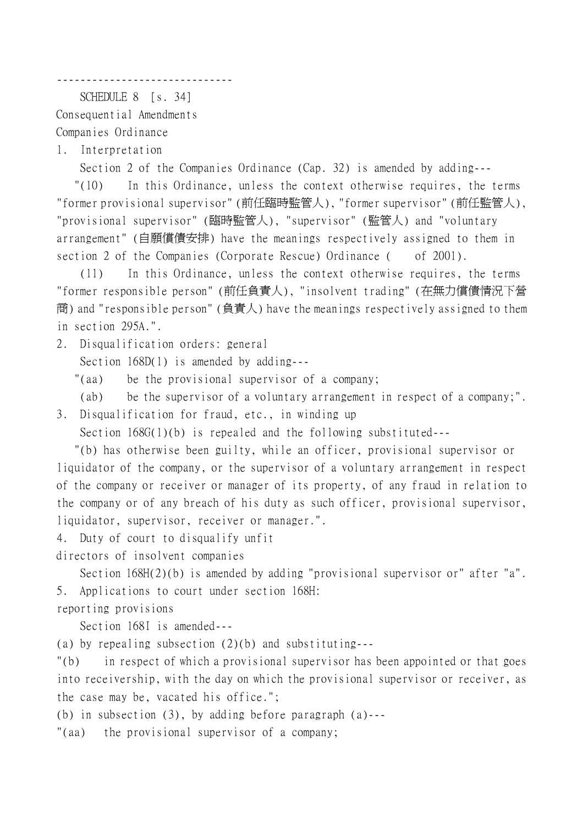------------------------------

SCHEDULE 8 [s. 34]

Consequential Amendments Companies Ordinance

1. Interpretation

Section 2 of the Companies Ordinance (Cap. 32) is amended by adding---

 "(10) In this Ordinance, unless the context otherwise requires, the terms "former provisional supervisor" (前任臨時監管㆟), "former supervisor" (前任監管㆟), "provisional supervisor" (臨時監管㆟), "supervisor" (監管㆟) and "voluntary arrangement" (自願償債安排) have the meanings respectively assigned to them in section 2 of the Companies (Corporate Rescue) Ordinance ( of 2001).

(11) In this Ordinance, unless the context otherwise requires, the terms "former responsible person" (前任負責㆟), "insolvent trading" (在無力償債情況㆘營 商) and "responsible person" (負責人) have the meanings respectively assigned to them in section 295A.".

2. Disqualification orders: general

Section 168D(1) is amended by adding---

"(aa) be the provisional supervisor of a company;

(ab) be the supervisor of a voluntary arrangement in respect of a company;".

3. Disqualification for fraud, etc., in winding up

Section 168G(1)(b) is repealed and the following substituted---

 "(b) has otherwise been guilty, while an officer, provisional supervisor or liquidator of the company, or the supervisor of a voluntary arrangement in respect of the company or receiver or manager of its property, of any fraud in relation to the company or of any breach of his duty as such officer, provisional supervisor, liquidator, supervisor, receiver or manager.".

4. Duty of court to disqualify unfit

directors of insolvent companies

Section 168H(2)(b) is amended by adding "provisional supervisor or" after "a". 5. Applications to court under section 168H:

reporting provisions

Section 168I is amended---

(a) by repealing subsection (2)(b) and substituting---

"(b) in respect of which a provisional supervisor has been appointed or that goes into receivership, with the day on which the provisional supervisor or receiver, as the case may be, vacated his office.";

(b) in subsection (3), by adding before paragraph (a)---

"(aa) the provisional supervisor of a company;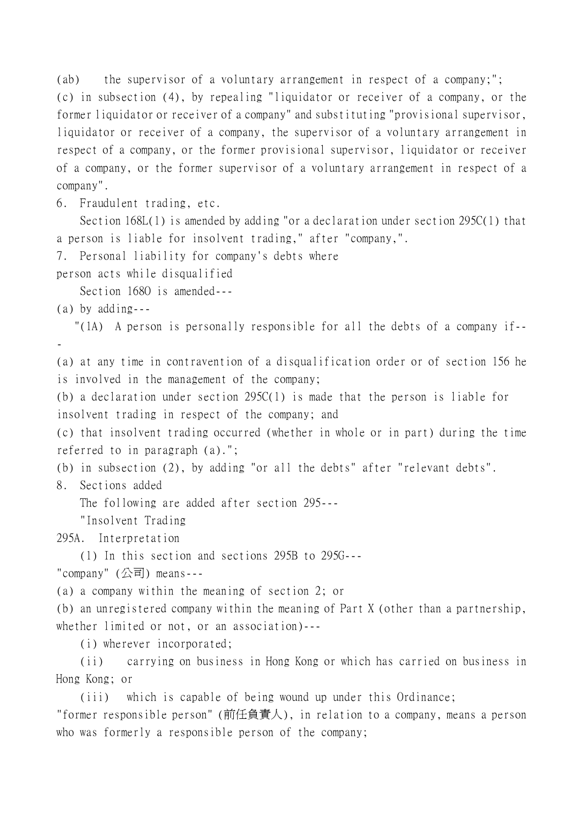(ab) the supervisor of a voluntary arrangement in respect of a company;"; (c) in subsection (4), by repealing "liquidator or receiver of a company, or the former liquidator or receiver of a company" and substituting "provisional supervisor, liquidator or receiver of a company, the supervisor of a voluntary arrangement in respect of a company, or the former provisional supervisor, liquidator or receiver of a company, or the former supervisor of a voluntary arrangement in respect of a company".

6. Fraudulent trading, etc.

Section 168L(1) is amended by adding "or a declaration under section 295C(1) that a person is liable for insolvent trading," after "company,".

7. Personal liability for company's debts where

person acts while disqualified

Section 1680 is amended---

(a) by adding---

"(1A) A person is personally responsible for all the debts of a company if--

-

(a) at any time in contravention of a disqualification order or of section 156 he is involved in the management of the company;

(b) a declaration under section 295C(1) is made that the person is liable for insolvent trading in respect of the company; and

(c) that insolvent trading occurred (whether in whole or in part) during the time referred to in paragraph (a).";

(b) in subsection (2), by adding "or all the debts" after "relevant debts".

8. Sections added

The following are added after section 295---

"Insolvent Trading

295A. Interpretation

(1) In this section and sections 295B to 295G---

"company" (公司) means---

(a) a company within the meaning of section 2; or

(b) an unregistered company within the meaning of Part X (other than a partnership, whether limited or not, or an association)---

(i) wherever incorporated;

(ii) carrying on business in Hong Kong or which has carried on business in Hong Kong; or

(iii) which is capable of being wound up under this Ordinance;

"former responsible person" (前任負責㆟), in relation to a company, means a person who was formerly a responsible person of the company;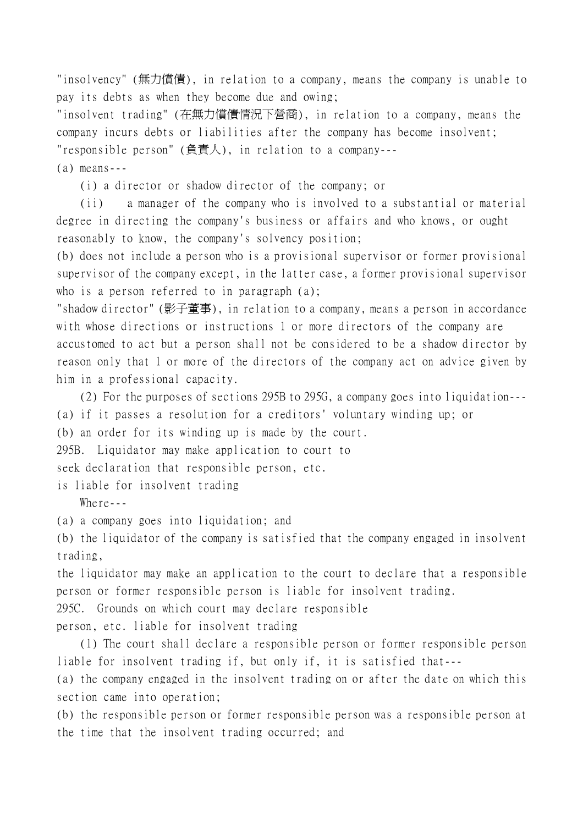"insolvency" (無力償債), in relation to a company, means the company is unable to pay its debts as when they become due and owing;

"insolvent trading" (在無力償債情況㆘營商), in relation to a company, means the company incurs debts or liabilities after the company has become insolvent; "responsible person" (負責㆟), in relation to a company---

(a) means---

(i) a director or shadow director of the company; or

(ii) a manager of the company who is involved to a substantial or material degree in directing the company's business or affairs and who knows, or ought reasonably to know, the company's solvency position;

(b) does not include a person who is a provisional supervisor or former provisional supervisor of the company except, in the latter case, a former provisional supervisor who is a person referred to in paragraph (a);

"shadow director" (影子董事), in relation to a company, means a person in accordance with whose directions or instructions 1 or more directors of the company are accustomed to act but a person shall not be considered to be a shadow director by reason only that 1 or more of the directors of the company act on advice given by him in a professional capacity.

(2) For the purposes of sections 295B to 295G, a company goes into liquidation--- (a) if it passes a resolution for a creditors' voluntary winding up; or (b) an order for its winding up is made by the court.

295B. Liquidator may make application to court to seek declaration that responsible person, etc.

is liable for insolvent trading

Where  $-$ 

(a) a company goes into liquidation; and

(b) the liquidator of the company is satisfied that the company engaged in insolvent trading,

the liquidator may make an application to the court to declare that a responsible person or former responsible person is liable for insolvent trading.

295C. Grounds on which court may declare responsible

person, etc. liable for insolvent trading

(1) The court shall declare a responsible person or former responsible person liable for insolvent trading if, but only if, it is satisfied that---

(a) the company engaged in the insolvent trading on or after the date on which this section came into operation;

(b) the responsible person or former responsible person was a responsible person at the time that the insolvent trading occurred; and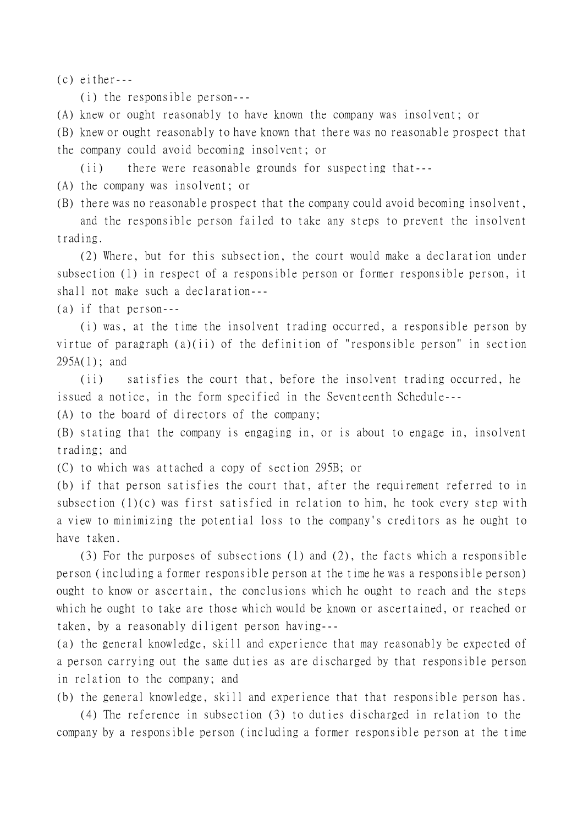(c) either---

(i) the responsible person---

(A) knew or ought reasonably to have known the company was insolvent; or

(B) knew or ought reasonably to have known that there was no reasonable prospect that the company could avoid becoming insolvent; or

(ii) there were reasonable grounds for suspecting that---

(A) the company was insolvent; or

(B) there was no reasonable prospect that the company could avoid becoming insolvent,

and the responsible person failed to take any steps to prevent the insolvent trading.

(2) Where, but for this subsection, the court would make a declaration under subsection (1) in respect of a responsible person or former responsible person, it shall not make such a declaration---

(a) if that person---

(i) was, at the time the insolvent trading occurred, a responsible person by virtue of paragraph (a)(ii) of the definition of "responsible person" in section 295A(1); and

(ii) satisfies the court that, before the insolvent trading occurred, he issued a notice, in the form specified in the Seventeenth Schedule---

(A) to the board of directors of the company;

(B) stating that the company is engaging in, or is about to engage in, insolvent trading; and

(C) to which was attached a copy of section 295B; or

(b) if that person satisfies the court that, after the requirement referred to in subsection (1)(c) was first satisfied in relation to him, he took every step with a view to minimizing the potential loss to the company's creditors as he ought to have taken.

(3) For the purposes of subsections (1) and (2), the facts which a responsible person (including a former responsible person at the time he was a responsible person) ought to know or ascertain, the conclusions which he ought to reach and the steps which he ought to take are those which would be known or ascertained, or reached or taken, by a reasonably diligent person having---

(a) the general knowledge, skill and experience that may reasonably be expected of a person carrying out the same duties as are discharged by that responsible person in relation to the company; and

(b) the general knowledge, skill and experience that that responsible person has.

(4) The reference in subsection (3) to duties discharged in relation to the company by a responsible person (including a former responsible person at the time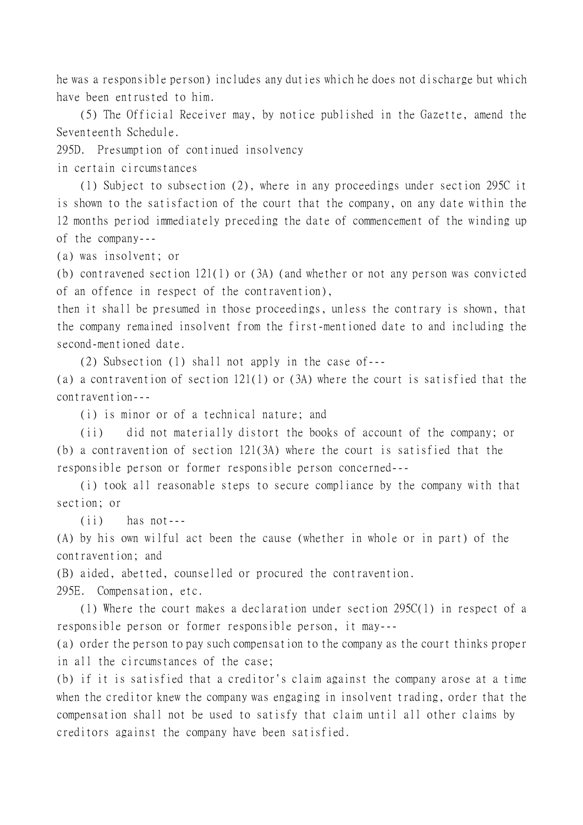he was a responsible person) includes any duties which he does not discharge but which have been entrusted to him.

(5) The Official Receiver may, by notice published in the Gazette, amend the Seventeenth Schedule.

295D. Presumption of continued insolvency

in certain circumstances

(1) Subject to subsection (2), where in any proceedings under section 295C it is shown to the satisfaction of the court that the company, on any date within the 12 months period immediately preceding the date of commencement of the winding up of the company---

(a) was insolvent; or

(b) contravened section 121(1) or (3A) (and whether or not any person was convicted of an offence in respect of the contravention),

then it shall be presumed in those proceedings, unless the contrary is shown, that the company remained insolvent from the first-mentioned date to and including the second-mentioned date.

(2) Subsection (1) shall not apply in the case of---

(a) a contravention of section 121(1) or (3A) where the court is satisfied that the contravention---

(i) is minor or of a technical nature; and

(ii) did not materially distort the books of account of the company; or (b) a contravention of section 121(3A) where the court is satisfied that the responsible person or former responsible person concerned---

(i) took all reasonable steps to secure compliance by the company with that section; or

(ii) has not---

(A) by his own wilful act been the cause (whether in whole or in part) of the contravention; and

(B) aided, abetted, counselled or procured the contravention.

295E. Compensation, etc.

(1) Where the court makes a declaration under section 295C(1) in respect of a responsible person or former responsible person, it may---

(a) order the person to pay such compensation to the company as the court thinks proper in all the circumstances of the case;

(b) if it is satisfied that a creditor's claim against the company arose at a time when the creditor knew the company was engaging in insolvent trading, order that the compensation shall not be used to satisfy that claim until all other claims by creditors against the company have been satisfied.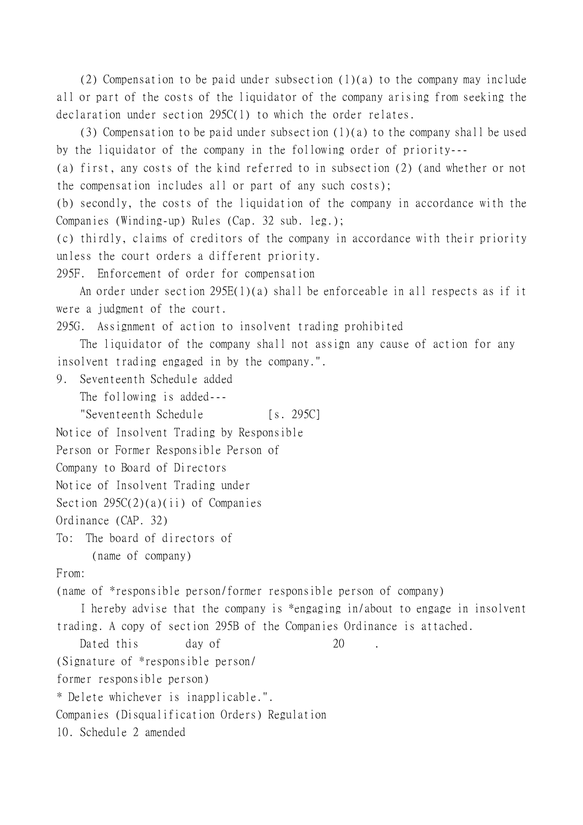(2) Compensation to be paid under subsection (1)(a) to the company may include all or part of the costs of the liquidator of the company arising from seeking the declaration under section 295C(1) to which the order relates.

(3) Compensation to be paid under subsection (1)(a) to the company shall be used by the liquidator of the company in the following order of priority---

(a) first, any costs of the kind referred to in subsection (2) (and whether or not the compensation includes all or part of any such costs);

(b) secondly, the costs of the liquidation of the company in accordance with the Companies (Winding-up) Rules (Cap. 32 sub. leg.);

(c) thirdly, claims of creditors of the company in accordance with their priority unless the court orders a different priority.

295F. Enforcement of order for compensation

An order under section 295E(1)(a) shall be enforceable in all respects as if it were a judgment of the court.

295G. Assignment of action to insolvent trading prohibited

The liquidator of the company shall not assign any cause of action for any insolvent trading engaged in by the company.".

9. Seventeenth Schedule added

The following is added---

"Seventeenth Schedule [s. 295C]

```
Notice of Insolvent Trading by Responsible
```
Person or Former Responsible Person of

```
Company to Board of Directors
```

```
Notice of Insolvent Trading under
```

```
Section 295C(2)(a)(ii) of Companies
```

```
Ordinance (CAP. 32)
```
To: The board of directors of (name of company)

From:

(name of \*responsible person/former responsible person of company)

I hereby advise that the company is \*engaging in/about to engage in insolvent trading. A copy of section 295B of the Companies Ordinance is attached.

Dated this day of 20

(Signature of \*responsible person/

former responsible person)

\* Delete whichever is inapplicable.".

Companies (Disqualification Orders) Regulation

10. Schedule 2 amended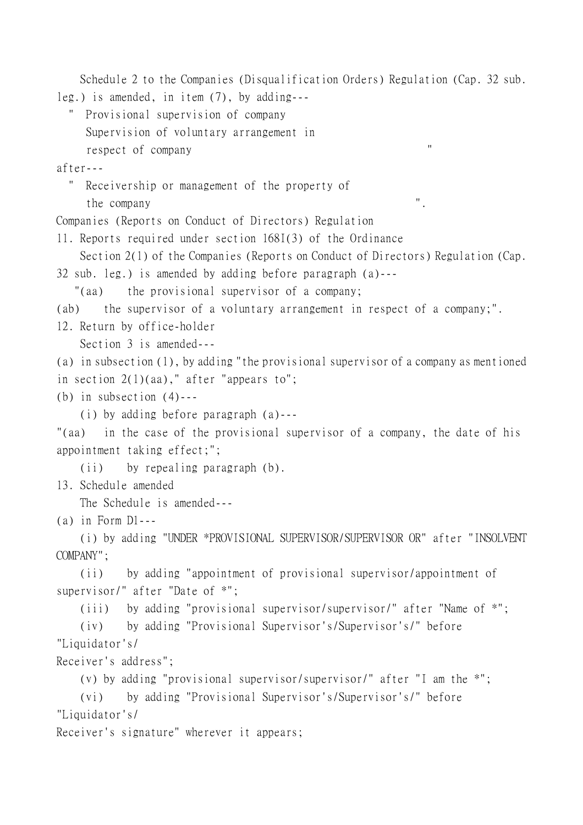```
Schedule 2 to the Companies (Disqualification Orders) Regulation (Cap. 32 sub.
leg.) is amended, in item (7), by adding---
   " Provisional supervision of company
     Supervision of voluntary arrangement in
     respect of company "
after---
   " Receivership or management of the property of
      the company ".
Companies (Reports on Conduct of Directors) Regulation
11. Reports required under section 168I(3) of the Ordinance
   Section 2(1) of the Companies (Reports on Conduct of Directors) Regulation (Cap.
32 sub. leg.) is amended by adding before paragraph (a)---
    "(aa) the provisional supervisor of a company;
(ab) the supervisor of a voluntary arrangement in respect of a company;".
12. Return by office-holder
   Section 3 is amended---
(a) in subsection (1), by adding "the provisional supervisor of a company as mentioned
in section 2(1)(aa)," after "appears to";
(b) in subsection (4)---
   (i) by adding before paragraph (a)---
"(aa) in the case of the provisional supervisor of a company, the date of his
appointment taking effect;";
   (ii) by repealing paragraph (b).
13. Schedule amended
   The Schedule is amended---
(a) in Form D1---
   (i) by adding "UNDER *PROVISIONAL SUPERVISOR/SUPERVISOR OR" after "INSOLVENT
COMPANY";
   (ii) by adding "appointment of provisional supervisor/appointment of
supervisor/" after "Date of *";
   (iii) by adding "provisional supervisor/supervisor/" after "Name of *";
   (iv) by adding "Provisional Supervisor's/Supervisor's/" before
"Liquidator's/
Receiver's address";
   (v) by adding "provisional supervisor/supervisor/" after "I am the *";
   (vi) by adding "Provisional Supervisor's/Supervisor's/" before
"Liquidator's/
Receiver's signature" wherever it appears;
```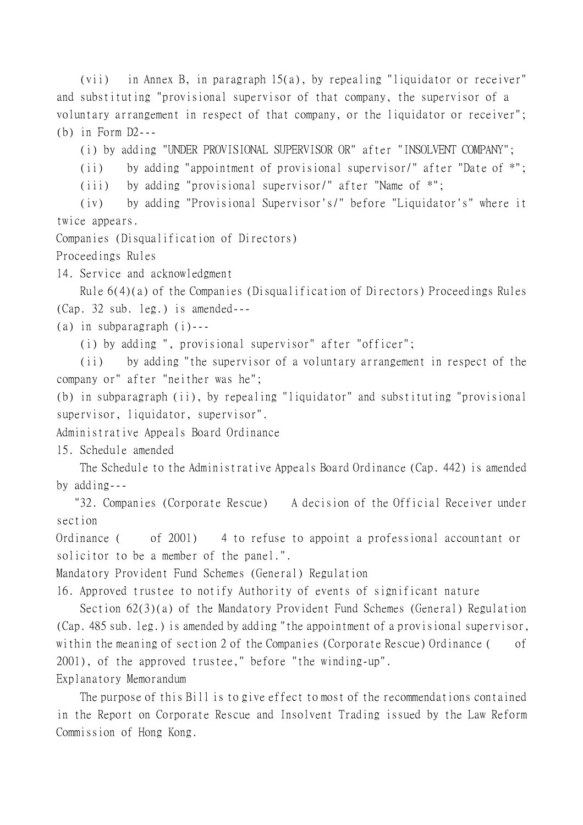(vii) in Annex B, in paragraph 15(a), by repealing "liquidator or receiver" and substituting "provisional supervisor of that company, the supervisor of a voluntary arrangement in respect of that company, or the liquidator or receiver"; (b) in Form D2---

(i) by adding "UNDER PROVISIONAL SUPERVISOR OR" after "INSOLVENT COMPANY";

(ii) by adding "appointment of provisional supervisor/" after "Date of \*";

(iii) by adding "provisional supervisor/" after "Name of \*";

(iv) by adding "Provisional Supervisor's/" before "Liquidator's" where it twice appears.

Companies (Disqualification of Directors)

Proceedings Rules

14. Service and acknowledgment

Rule 6(4)(a) of the Companies (Disqualification of Directors) Proceedings Rules (Cap. 32 sub. leg.) is amended---

(a) in subparagraph (i)---

(i) by adding ", provisional supervisor" after "officer";

(ii) by adding "the supervisor of a voluntary arrangement in respect of the company or" after "neither was he";

(b) in subparagraph (ii), by repealing "liquidator" and substituting "provisional supervisor, liquidator, supervisor".

Administrative Appeals Board Ordinance

15. Schedule amended

The Schedule to the Administrative Appeals Board Ordinance (Cap. 442) is amended by adding---

 "32. Companies (Corporate Rescue) A decision of the Official Receiver under section

Ordinance ( of 2001) 4 to refuse to appoint a professional accountant or solicitor to be a member of the panel.".

Mandatory Provident Fund Schemes (General) Regulation

16. Approved trustee to notify Authority of events of significant nature

Section 62(3)(a) of the Mandatory Provident Fund Schemes (General) Regulation (Cap. 485 sub. leg.) is amended by adding "the appointment of a provisional supervisor, within the meaning of section 2 of the Companies (Corporate Rescue) Ordinance ( of 2001), of the approved trustee," before "the winding-up".

Explanatory Memorandum

The purpose of this Bill is to give effect to most of the recommendations contained in the Report on Corporate Rescue and Insolvent Trading issued by the Law Reform Commission of Hong Kong.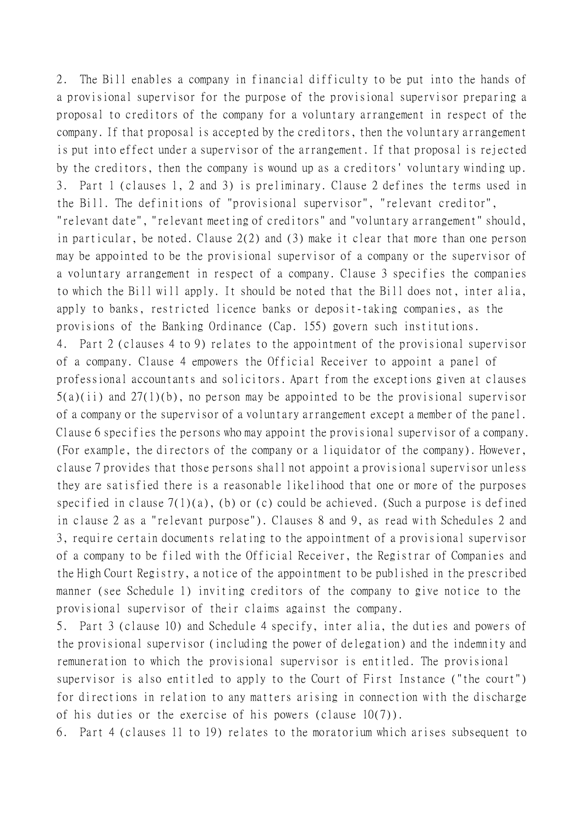2. The Bill enables a company in financial difficulty to be put into the hands of a provisional supervisor for the purpose of the provisional supervisor preparing a proposal to creditors of the company for a voluntary arrangement in respect of the company. If that proposal is accepted by the creditors, then the voluntary arrangement is put into effect under a supervisor of the arrangement. If that proposal is rejected by the creditors, then the company is wound up as a creditors' voluntary winding up. 3. Part 1 (clauses 1, 2 and 3) is preliminary. Clause 2 defines the terms used in the Bill. The definitions of "provisional supervisor", "relevant creditor", "relevant date", "relevant meeting of creditors" and "voluntary arrangement" should, in particular, be noted. Clause 2(2) and (3) make it clear that more than one person may be appointed to be the provisional supervisor of a company or the supervisor of a voluntary arrangement in respect of a company. Clause 3 specifies the companies to which the Bill will apply. It should be noted that the Bill does not, inter alia, apply to banks, restricted licence banks or deposit-taking companies, as the provisions of the Banking Ordinance (Cap. 155) govern such institutions. 4. Part 2 (clauses 4 to 9) relates to the appointment of the provisional supervisor of a company. Clause 4 empowers the Official Receiver to appoint a panel of professional accountants and solicitors. Apart from the exceptions given at clauses  $5(a)(ii)$  and  $27(1)(b)$ , no person may be appointed to be the provisional supervisor of a company or the supervisor of a voluntary arrangement except a member of the panel. Clause 6 specifies the persons who may appoint the provisional supervisor of a company. (For example, the directors of the company or a liquidator of the company). However, clause 7 provides that those persons shall not appoint a provisional supervisor unless they are satisfied there is a reasonable likelihood that one or more of the purposes specified in clause  $7(1)(a)$ , (b) or (c) could be achieved. (Such a purpose is defined in clause 2 as a "relevant purpose"). Clauses 8 and 9, as read with Schedules 2 and 3, require certain documents relating to the appointment of a provisional supervisor of a company to be filed with the Official Receiver, the Registrar of Companies and the High Court Registry, a notice of the appointment to be published in the prescribed manner (see Schedule 1) inviting creditors of the company to give notice to the provisional supervisor of their claims against the company.

5. Part 3 (clause 10) and Schedule 4 specify, inter alia, the duties and powers of the provisional supervisor (including the power of delegation) and the indemnity and remuneration to which the provisional supervisor is entitled. The provisional supervisor is also entitled to apply to the Court of First Instance ("the court") for directions in relation to any matters arising in connection with the discharge of his duties or the exercise of his powers (clause 10(7)).

6. Part 4 (clauses 11 to 19) relates to the moratorium which arises subsequent to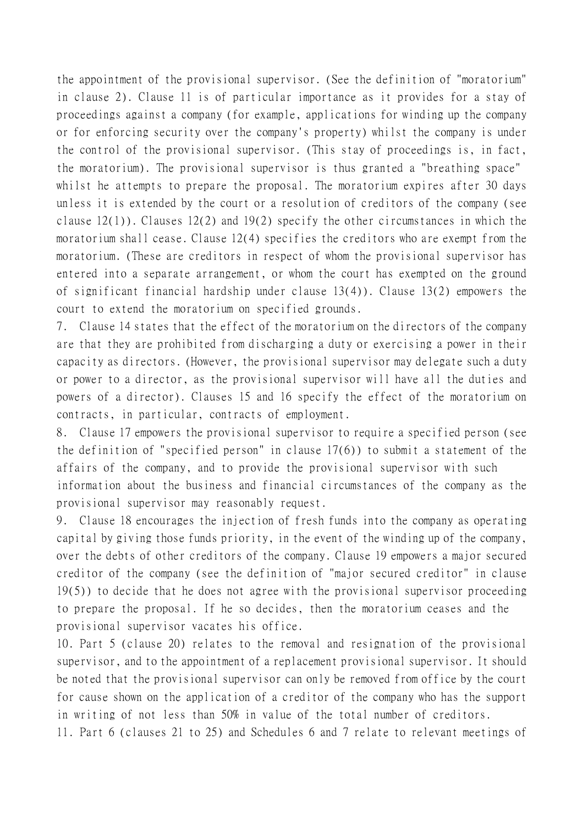the appointment of the provisional supervisor. (See the definition of "moratorium" in clause 2). Clause 11 is of particular importance as it provides for a stay of proceedings against a company (for example, applications for winding up the company or for enforcing security over the company's property) whilst the company is under the control of the provisional supervisor. (This stay of proceedings is, in fact, the moratorium). The provisional supervisor is thus granted a "breathing space" whilst he attempts to prepare the proposal. The moratorium expires after 30 days unless it is extended by the court or a resolution of creditors of the company (see clause 12(1)). Clauses 12(2) and 19(2) specify the other circumstances in which the moratorium shall cease. Clause 12(4) specifies the creditors who are exempt from the moratorium. (These are creditors in respect of whom the provisional supervisor has entered into a separate arrangement, or whom the court has exempted on the ground of significant financial hardship under clause 13(4)). Clause 13(2) empowers the court to extend the moratorium on specified grounds.

7. Clause 14 states that the effect of the moratorium on the directors of the company are that they are prohibited from discharging a duty or exercising a power in their capacity as directors. (However, the provisional supervisor may delegate such a duty or power to a director, as the provisional supervisor will have all the duties and powers of a director). Clauses 15 and 16 specify the effect of the moratorium on contracts, in particular, contracts of employment.

8. Clause 17 empowers the provisional supervisor to require a specified person (see the definition of "specified person" in clause 17(6)) to submit a statement of the affairs of the company, and to provide the provisional supervisor with such information about the business and financial circumstances of the company as the provisional supervisor may reasonably request.

9. Clause 18 encourages the injection of fresh funds into the company as operating capital by giving those funds priority, in the event of the winding up of the company, over the debts of other creditors of the company. Clause 19 empowers a major secured creditor of the company (see the definition of "major secured creditor" in clause 19(5)) to decide that he does not agree with the provisional supervisor proceeding to prepare the proposal. If he so decides, then the moratorium ceases and the provisional supervisor vacates his office.

10. Part 5 (clause 20) relates to the removal and resignation of the provisional supervisor, and to the appointment of a replacement provisional supervisor. It should be noted that the provisional supervisor can only be removed from office by the court for cause shown on the application of a creditor of the company who has the support in writing of not less than 50% in value of the total number of creditors.

11. Part 6 (clauses 21 to 25) and Schedules 6 and 7 relate to relevant meetings of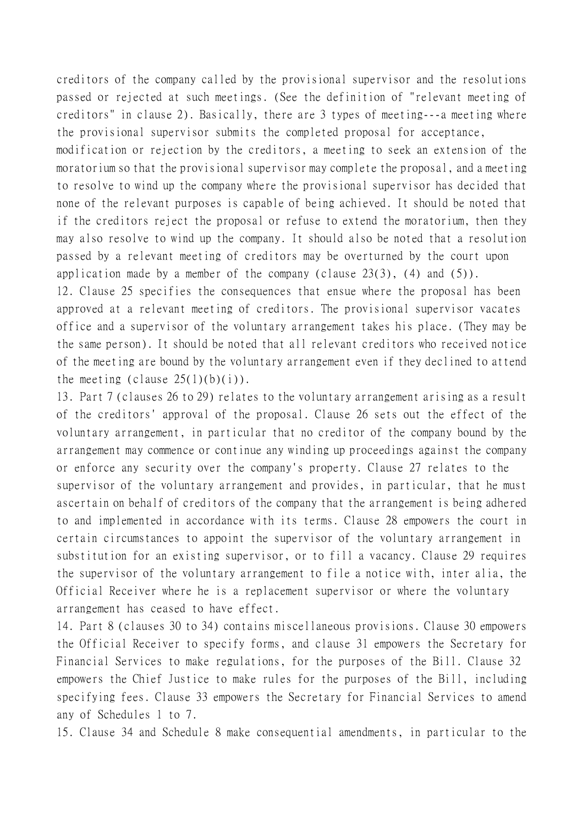creditors of the company called by the provisional supervisor and the resolutions passed or rejected at such meetings. (See the definition of "relevant meeting of creditors" in clause 2). Basically, there are 3 types of meeting---a meeting where the provisional supervisor submits the completed proposal for acceptance,

modification or rejection by the creditors, a meeting to seek an extension of the moratorium so that the provisional supervisor may complete the proposal, and a meeting to resolve to wind up the company where the provisional supervisor has decided that none of the relevant purposes is capable of being achieved. It should be noted that if the creditors reject the proposal or refuse to extend the moratorium, then they may also resolve to wind up the company. It should also be noted that a resolution passed by a relevant meeting of creditors may be overturned by the court upon application made by a member of the company (clause  $23(3)$ , (4) and  $(5)$ ).

12. Clause 25 specifies the consequences that ensue where the proposal has been approved at a relevant meeting of creditors. The provisional supervisor vacates office and a supervisor of the voluntary arrangement takes his place. (They may be the same person). It should be noted that all relevant creditors who received notice of the meeting are bound by the voluntary arrangement even if they declined to attend the meeting (clause  $25(1)(b)(i)$ ).

13. Part 7 (clauses 26 to 29) relates to the voluntary arrangement arising as a result of the creditors' approval of the proposal. Clause 26 sets out the effect of the voluntary arrangement, in particular that no creditor of the company bound by the arrangement may commence or continue any winding up proceedings against the company or enforce any security over the company's property. Clause 27 relates to the supervisor of the voluntary arrangement and provides, in particular, that he must ascertain on behalf of creditors of the company that the arrangement is being adhered to and implemented in accordance with its terms. Clause 28 empowers the court in certain circumstances to appoint the supervisor of the voluntary arrangement in substitution for an existing supervisor, or to fill a vacancy. Clause 29 requires the supervisor of the voluntary arrangement to file a notice with, inter alia, the Official Receiver where he is a replacement supervisor or where the voluntary arrangement has ceased to have effect.

14. Part 8 (clauses 30 to 34) contains miscellaneous provisions. Clause 30 empowers the Official Receiver to specify forms, and clause 31 empowers the Secretary for Financial Services to make regulations, for the purposes of the Bill. Clause 32 empowers the Chief Justice to make rules for the purposes of the Bill, including specifying fees. Clause 33 empowers the Secretary for Financial Services to amend any of Schedules 1 to 7.

15. Clause 34 and Schedule 8 make consequential amendments, in particular to the